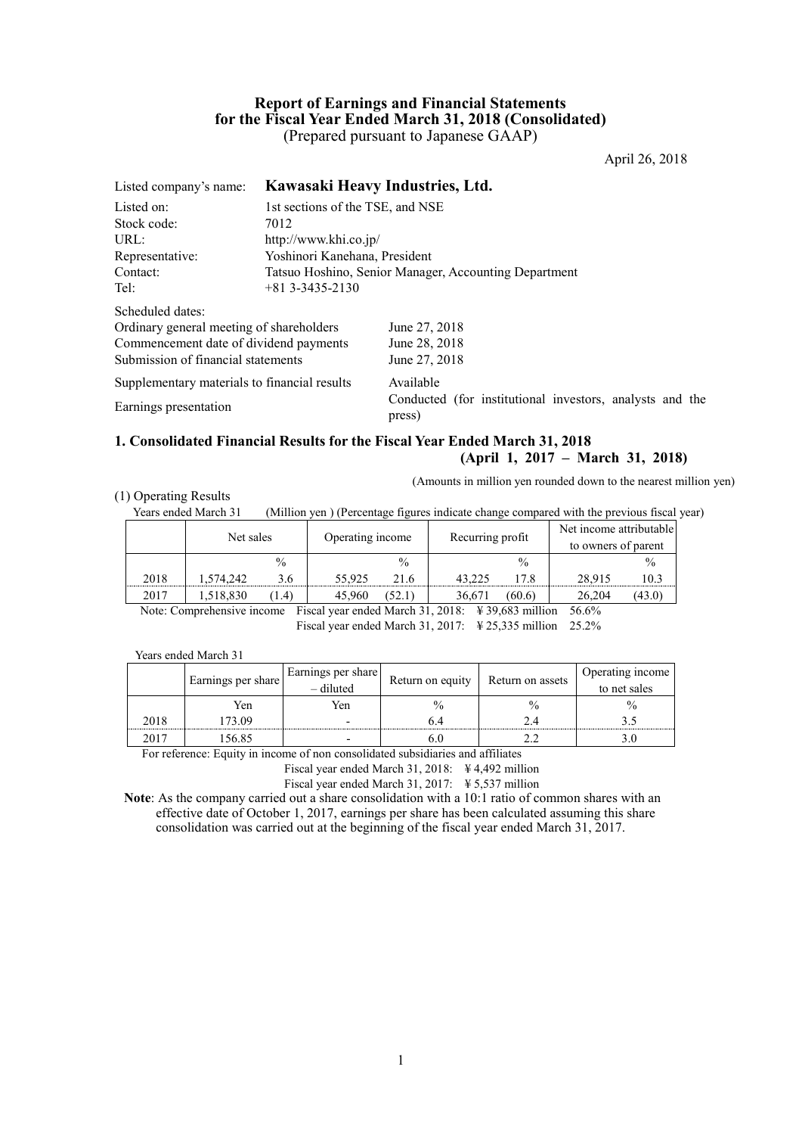# **Report of Earnings and Financial Statements for the Fiscal Year Ended March 31, 2018 (Consolidated)** (Prepared pursuant to Japanese GAAP)

April 26, 2018

| Listed company's name:                       | Kawasaki Heavy Industries, Ltd. |                                                                    |  |  |  |  |
|----------------------------------------------|---------------------------------|--------------------------------------------------------------------|--|--|--|--|
| Listed on:                                   |                                 | 1st sections of the TSE, and NSE                                   |  |  |  |  |
| Stock code:                                  | 7012                            |                                                                    |  |  |  |  |
| URL:                                         | http://www.khi.co.jp/           |                                                                    |  |  |  |  |
| Representative:                              | Yoshinori Kanehana, President   |                                                                    |  |  |  |  |
| Contact:                                     |                                 | Tatsuo Hoshino, Senior Manager, Accounting Department              |  |  |  |  |
| Tel:                                         | $+813--3435-2130$               |                                                                    |  |  |  |  |
| Scheduled dates:                             |                                 |                                                                    |  |  |  |  |
| Ordinary general meeting of shareholders     |                                 | June 27, 2018                                                      |  |  |  |  |
| Commencement date of dividend payments       |                                 | June 28, 2018                                                      |  |  |  |  |
| Submission of financial statements           |                                 | June 27, 2018                                                      |  |  |  |  |
| Supplementary materials to financial results |                                 | Available                                                          |  |  |  |  |
| Earnings presentation                        |                                 | Conducted (for institutional investors, analysts and the<br>press) |  |  |  |  |
|                                              |                                 |                                                                    |  |  |  |  |

### **1. Consolidated Financial Results for the Fiscal Year Ended March 31, 2018 (April 1, 2017 – March 31, 2018)**

(Amounts in million yen rounded down to the nearest million yen)

# (1) Operating Results

Years ended March 31 (Million yen ) (Percentage figures indicate change compared with the previous fiscal year)

|      | Net sales |               |        | Operating income |        | Recurring profit |        | Net income attributable<br>to owners of parent |
|------|-----------|---------------|--------|------------------|--------|------------------|--------|------------------------------------------------|
|      |           | $\frac{0}{0}$ |        | $\frac{0}{0}$    |        | $\frac{0}{0}$    |        | $\frac{0}{0}$                                  |
| 2018 | .574.242  | 3.6           | 55.925 | 21.6             | 43.225 | !7.8             | 28,915 | 10.3                                           |
| 2017 | .518,830  | (1.4)         | 45.960 | (52.1)           | 36.671 | (60.6)           | 26.204 | (43.0)                                         |

Note: Comprehensive income Fiscal year ended March 31, 2018: ¥ 39,683 million 56.6% Fiscal year ended March 31, 2017: ¥ 25,335 million 25.2%

Years ended March 31

|      | Earnings per share | Earnings per share<br>- diluted | Return on equity | Return on assets | Operating income<br>to net sales |
|------|--------------------|---------------------------------|------------------|------------------|----------------------------------|
|      | Yen                | Yen                             | $\frac{0}{0}$    |                  | $\frac{0}{0}$                    |
| 2018 | 73.09              |                                 |                  |                  |                                  |
|      | 56.85              |                                 | . C              |                  |                                  |

For reference: Equity in income of non consolidated subsidiaries and affiliates

Fiscal year ended March 31, 2018: ¥ 4,492 million

Fiscal year ended March 31, 2017: ¥ 5,537 million

**Note**: As the company carried out a share consolidation with a 10:1 ratio of common shares with an effective date of October 1, 2017, earnings per share has been calculated assuming this share consolidation was carried out at the beginning of the fiscal year ended March 31, 2017.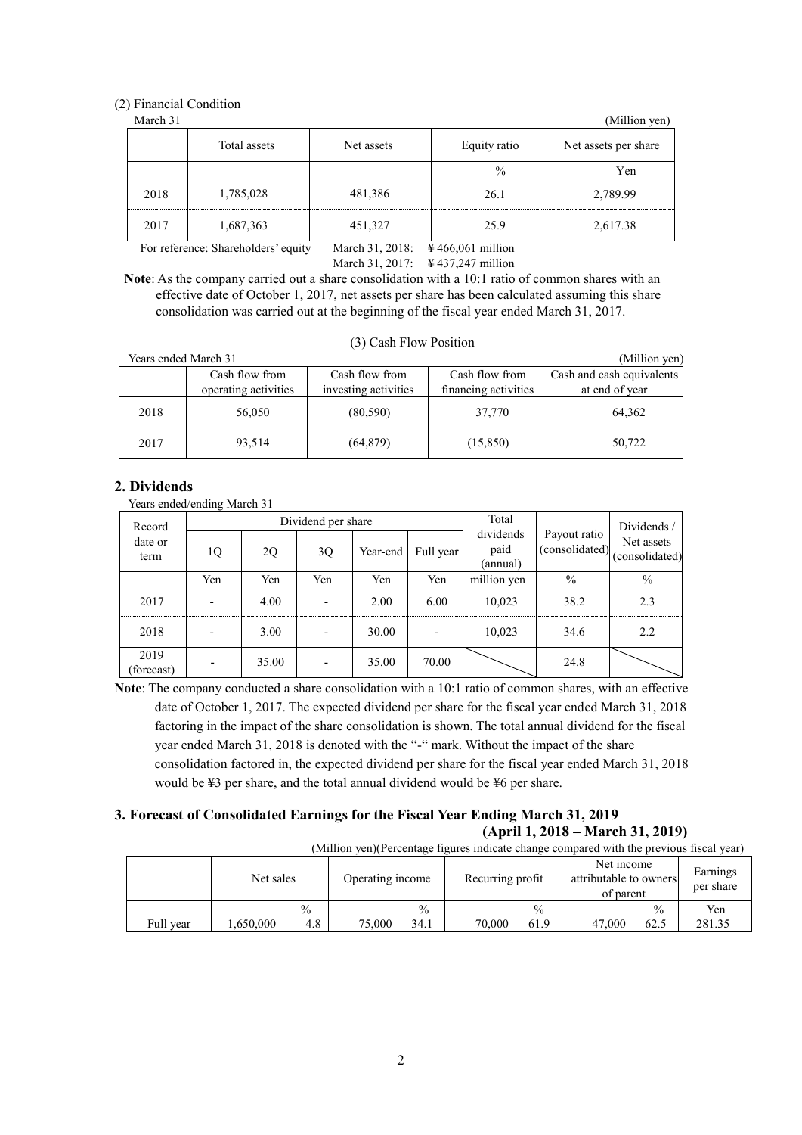# (2) Financial Condition

| March 31 |                            |         |              | (Million yen)        |
|----------|----------------------------|---------|--------------|----------------------|
|          | Total assets<br>Net assets |         | Equity ratio | Net assets per share |
|          |                            |         | $\%$         | Yen                  |
| 2018     | 1,785,028                  | 481,386 | 26.1         | 2,789.99             |
| 2017     | 1,687,363                  | 451,327 | 25.9         | 2,617.38             |

For reference: Shareholders' equity March 31, 2018: \N 466,061 million

March 31, 2017: ¥ 437,247 million

**Note**: As the company carried out a share consolidation with a 10:1 ratio of common shares with an effective date of October 1, 2017, net assets per share has been calculated assuming this share consolidation was carried out at the beginning of the fiscal year ended March 31, 2017.

| Years ended March 31 |                                        |                                        |                                        | (Million yen)                               |
|----------------------|----------------------------------------|----------------------------------------|----------------------------------------|---------------------------------------------|
|                      | Cash flow from<br>operating activities | Cash flow from<br>investing activities | Cash flow from<br>financing activities | Cash and cash equivalents<br>at end of year |
| 2018                 | 56,050                                 | (80, 590)                              | 37.770                                 | 64,362                                      |
| 2017                 | 93,514                                 | (64, 879)                              | (15, 850)                              | 50,722                                      |

#### (3) Cash Flow Position

# **2. Dividends**

Years ended/ending March 31

| Record<br>date or<br>1Q<br>term |                          |       | Dividend per share          |       | Total                         |                                | Dividends /                  |               |
|---------------------------------|--------------------------|-------|-----------------------------|-------|-------------------------------|--------------------------------|------------------------------|---------------|
|                                 |                          | 2Q    | Full year<br>3Q<br>Year-end |       | dividends<br>paid<br>(annual) | Payout ratio<br>(consolidated) | Net assets<br>(consolidated) |               |
|                                 | Yen                      | Yen   | Yen                         | Yen   | Yen                           | million yen                    | $\frac{0}{0}$                | $\frac{0}{0}$ |
| 2017                            | -                        | 4.00  |                             | 2.00  | 6.00                          | 10.023                         | 38.2                         | 2.3           |
| 2018                            | $\overline{\phantom{0}}$ | 3.00  |                             | 30.00 | $\overline{\phantom{0}}$      | 10,023                         | 34.6                         | 2.2           |
| 2019<br>(forecast)              |                          | 35.00 |                             | 35.00 | 70.00                         |                                | 24.8                         |               |

**Note**: The company conducted a share consolidation with a 10:1 ratio of common shares, with an effective date of October 1, 2017. The expected dividend per share for the fiscal year ended March 31, 2018 factoring in the impact of the share consolidation is shown. The total annual dividend for the fiscal year ended March 31, 2018 is denoted with the "-" mark. Without the impact of the share consolidation factored in, the expected dividend per share for the fiscal year ended March 31, 2018 would be ¥3 per share, and the total annual dividend would be ¥6 per share.

# **3. Forecast of Consolidated Earnings for the Fiscal Year Ending March 31, 2019**

# **(April 1, 2018 – March 31, 2019)**

| (Million yen) (Percentage figures indicate change compared with the previous fiscal year) |           |               |                  |               |                  |               |                                                   |               |                       |
|-------------------------------------------------------------------------------------------|-----------|---------------|------------------|---------------|------------------|---------------|---------------------------------------------------|---------------|-----------------------|
|                                                                                           | Net sales |               | Operating income |               | Recurring profit |               | Net income<br>attributable to owners<br>of parent |               | Earnings<br>per share |
|                                                                                           |           | $\frac{0}{0}$ |                  | $\frac{0}{0}$ |                  | $\frac{0}{0}$ |                                                   | $\frac{0}{0}$ | Yen                   |
| Full vear                                                                                 | .650.000  | 4.8           | 75,000           | 34.1          | 70.000           | 61.9          | 47.000                                            | 62.5          | 281.35                |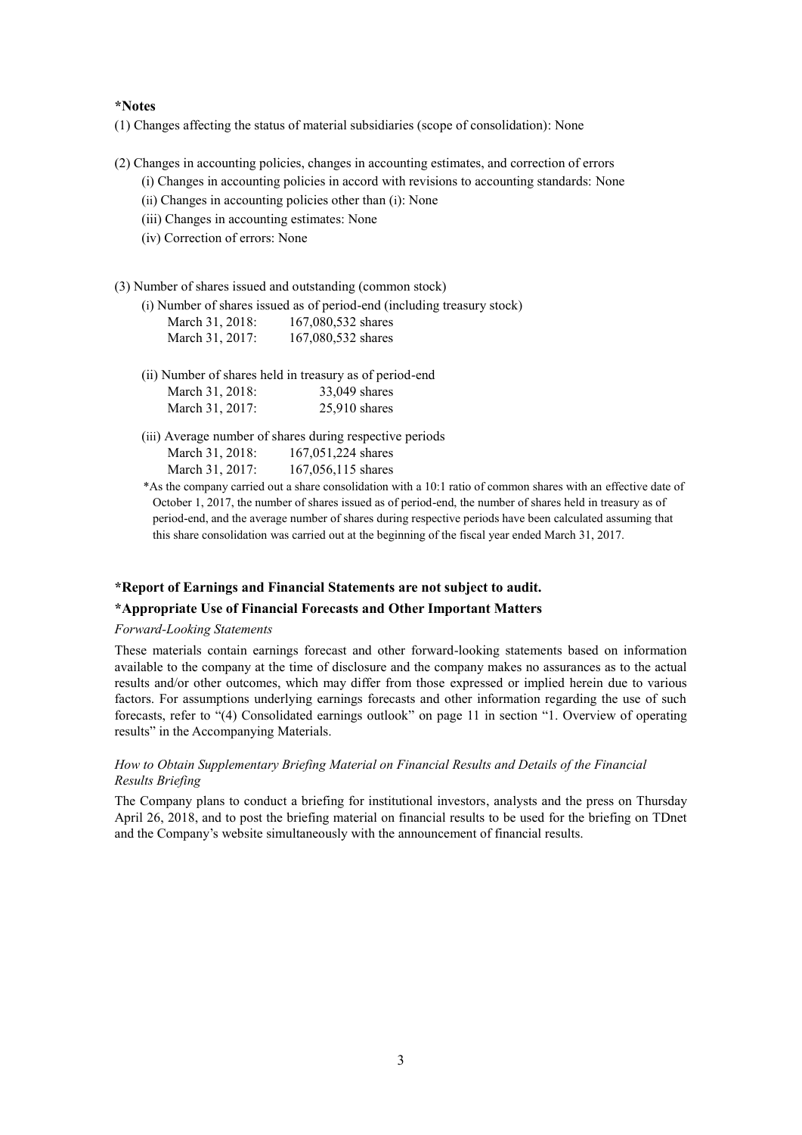#### **\*Notes**

(1) Changes affecting the status of material subsidiaries (scope of consolidation): None

- (2) Changes in accounting policies, changes in accounting estimates, and correction of errors (i) Changes in accounting policies in accord with revisions to accounting standards: None
	- (ii) Changes in accounting policies other than (i): None
	- (iii) Changes in accounting estimates: None
	- (iv) Correction of errors: None
- (3) Number of shares issued and outstanding (common stock)

(i) Number of shares issued as of period-end (including treasury stock) March 31, 2018: 167,080,532 shares March 31, 2017: 167,080,532 shares

- (ii) Number of shares held in treasury as of period-end March 31, 2018: 33,049 shares March 31, 2017: 25,910 shares
- (iii) Average number of shares during respective periods March 31, 2018: 167,051,224 shares March 31, 2017: 167,056,115 shares
- \*As the company carried out a share consolidation with a 10:1 ratio of common shares with an effective date of October 1, 2017, the number of shares issued as of period-end, the number of shares held in treasury as of period-end, and the average number of shares during respective periods have been calculated assuming that this share consolidation was carried out at the beginning of the fiscal year ended March 31, 2017.

#### **\*Report of Earnings and Financial Statements are not subject to audit.**

#### **\*Appropriate Use of Financial Forecasts and Other Important Matters**

### *Forward-Looking Statements*

These materials contain earnings forecast and other forward-looking statements based on information available to the company at the time of disclosure and the company makes no assurances as to the actual results and/or other outcomes, which may differ from those expressed or implied herein due to various factors. For assumptions underlying earnings forecasts and other information regarding the use of such forecasts, refer to "(4) Consolidated earnings outlook" on page 11 in section "1. Overview of operating results" in the Accompanying Materials.

# *How to Obtain Supplementary Briefing Material on Financial Results and Details of the Financial Results Briefing*

The Company plans to conduct a briefing for institutional investors, analysts and the press on Thursday April 26, 2018, and to post the briefing material on financial results to be used for the briefing on TDnet and the Company's website simultaneously with the announcement of financial results.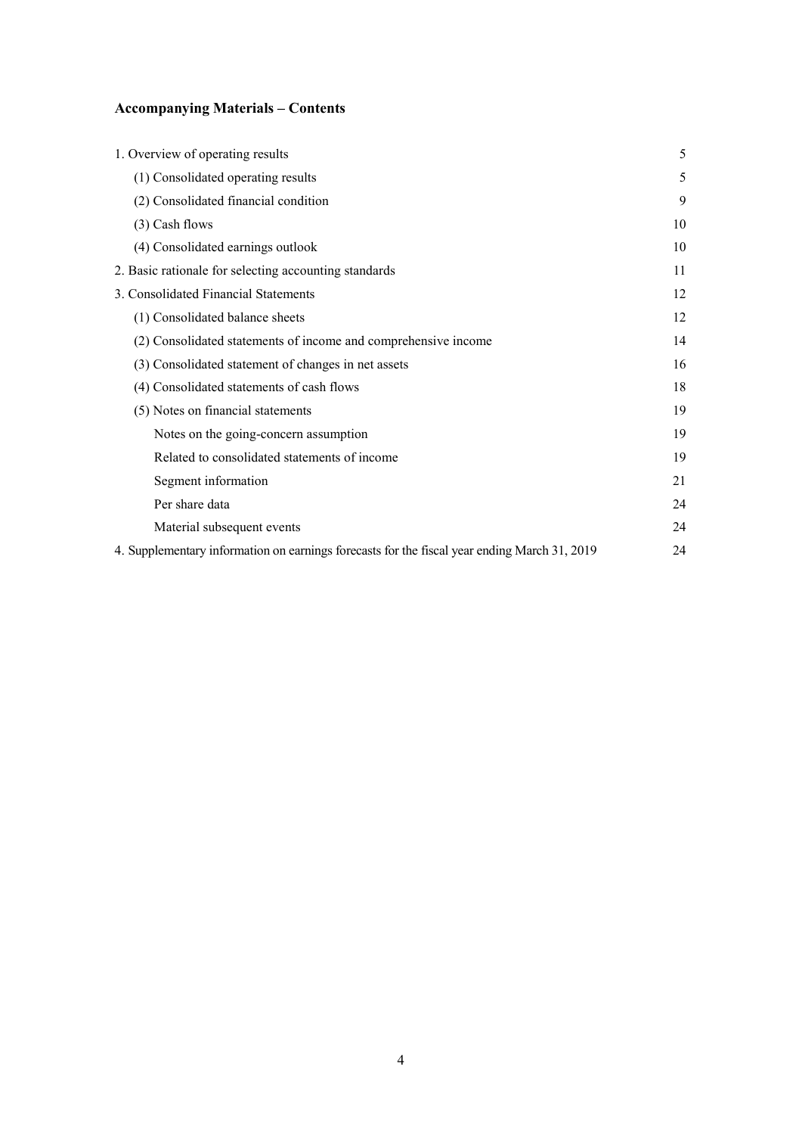# **Accompanying Materials – Contents**

| 1. Overview of operating results                                                             | 5  |
|----------------------------------------------------------------------------------------------|----|
| (1) Consolidated operating results                                                           | 5  |
| (2) Consolidated financial condition                                                         | 9  |
| (3) Cash flows                                                                               | 10 |
| (4) Consolidated earnings outlook                                                            | 10 |
| 2. Basic rationale for selecting accounting standards                                        | 11 |
| 3. Consolidated Financial Statements                                                         | 12 |
| (1) Consolidated balance sheets                                                              | 12 |
| (2) Consolidated statements of income and comprehensive income                               | 14 |
| (3) Consolidated statement of changes in net assets                                          | 16 |
| (4) Consolidated statements of cash flows                                                    | 18 |
| (5) Notes on financial statements                                                            | 19 |
| Notes on the going-concern assumption                                                        | 19 |
| Related to consolidated statements of income                                                 | 19 |
| Segment information                                                                          | 21 |
| Per share data                                                                               | 24 |
| Material subsequent events                                                                   | 24 |
| 4. Supplementary information on earnings forecasts for the fiscal year ending March 31, 2019 | 24 |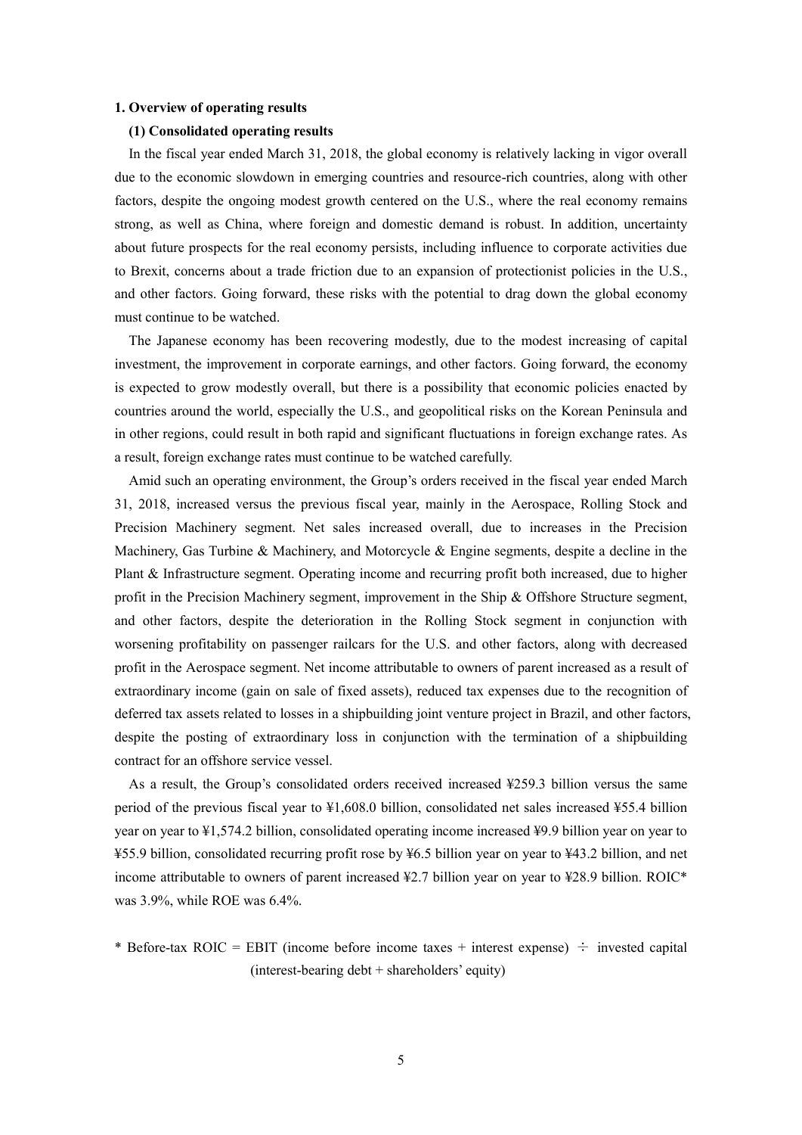#### **1. Overview of operating results**

#### **(1) Consolidated operating results**

In the fiscal year ended March 31, 2018, the global economy is relatively lacking in vigor overall due to the economic slowdown in emerging countries and resource-rich countries, along with other factors, despite the ongoing modest growth centered on the U.S., where the real economy remains strong, as well as China, where foreign and domestic demand is robust. In addition, uncertainty about future prospects for the real economy persists, including influence to corporate activities due to Brexit, concerns about a trade friction due to an expansion of protectionist policies in the U.S., and other factors. Going forward, these risks with the potential to drag down the global economy must continue to be watched.

The Japanese economy has been recovering modestly, due to the modest increasing of capital investment, the improvement in corporate earnings, and other factors. Going forward, the economy is expected to grow modestly overall, but there is a possibility that economic policies enacted by countries around the world, especially the U.S., and geopolitical risks on the Korean Peninsula and in other regions, could result in both rapid and significant fluctuations in foreign exchange rates. As a result, foreign exchange rates must continue to be watched carefully.

Amid such an operating environment, the Group's orders received in the fiscal year ended March 31, 2018, increased versus the previous fiscal year, mainly in the Aerospace, Rolling Stock and Precision Machinery segment. Net sales increased overall, due to increases in the Precision Machinery, Gas Turbine & Machinery, and Motorcycle  $\&$  Engine segments, despite a decline in the Plant & Infrastructure segment. Operating income and recurring profit both increased, due to higher profit in the Precision Machinery segment, improvement in the Ship & Offshore Structure segment, and other factors, despite the deterioration in the Rolling Stock segment in conjunction with worsening profitability on passenger railcars for the U.S. and other factors, along with decreased profit in the Aerospace segment. Net income attributable to owners of parent increased as a result of extraordinary income (gain on sale of fixed assets), reduced tax expenses due to the recognition of deferred tax assets related to losses in a shipbuilding joint venture project in Brazil, and other factors, despite the posting of extraordinary loss in conjunction with the termination of a shipbuilding contract for an offshore service vessel.

As a result, the Group's consolidated orders received increased ¥259.3 billion versus the same period of the previous fiscal year to ¥1,608.0 billion, consolidated net sales increased ¥55.4 billion year on year to ¥1,574.2 billion, consolidated operating income increased ¥9.9 billion year on year to ¥55.9 billion, consolidated recurring profit rose by ¥6.5 billion year on year to ¥43.2 billion, and net income attributable to owners of parent increased ¥2.7 billion year on year to ¥28.9 billion. ROIC\* was 3.9%, while ROE was 6.4%.

\* Before-tax ROIC = EBIT (income before income taxes + interest expense)  $\div$  invested capital (interest-bearing debt + shareholders' equity)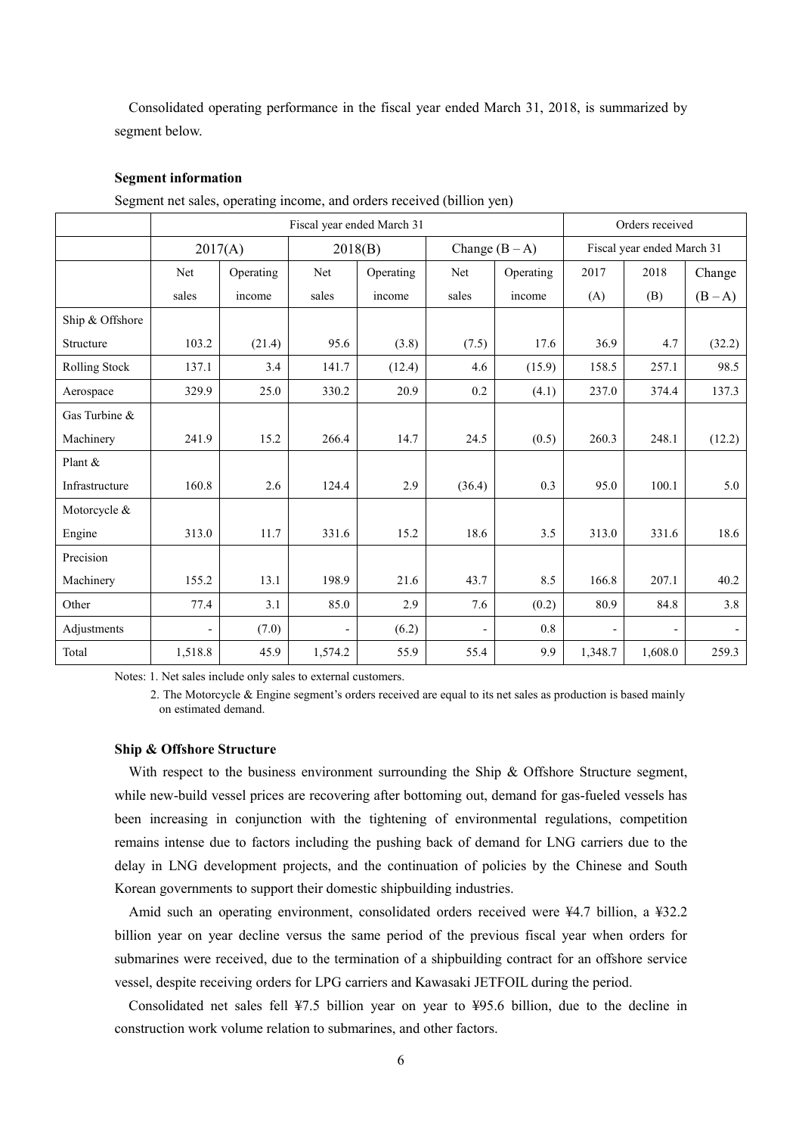Consolidated operating performance in the fiscal year ended March 31, 2018, is summarized by segment below.

#### **Segment information**

Segment net sales, operating income, and orders received (billion yen)

|                 | Fiscal year ended March 31 |           |         |           |                          |                  |                | Orders received            |         |
|-----------------|----------------------------|-----------|---------|-----------|--------------------------|------------------|----------------|----------------------------|---------|
|                 |                            | 2017(A)   | 2018(B) |           |                          | Change $(B - A)$ |                | Fiscal year ended March 31 |         |
|                 | Net                        | Operating | Net     | Operating | Net                      | Operating        | 2017           | 2018                       | Change  |
|                 | sales                      | income    | sales   | income    | sales                    | income           | (A)            | (B)                        | $(B-A)$ |
| Ship & Offshore |                            |           |         |           |                          |                  |                |                            |         |
| Structure       | 103.2                      | (21.4)    | 95.6    | (3.8)     | (7.5)                    | 17.6             | 36.9           | 4.7                        | (32.2)  |
| Rolling Stock   | 137.1                      | 3.4       | 141.7   | (12.4)    | 4.6                      | (15.9)           | 158.5          | 257.1                      | 98.5    |
| Aerospace       | 329.9                      | 25.0      | 330.2   | 20.9      | 0.2                      | (4.1)            | 237.0          | 374.4                      | 137.3   |
| Gas Turbine &   |                            |           |         |           |                          |                  |                |                            |         |
| Machinery       | 241.9                      | 15.2      | 266.4   | 14.7      | 24.5                     | (0.5)            | 260.3          | 248.1                      | (12.2)  |
| Plant $&$       |                            |           |         |           |                          |                  |                |                            |         |
| Infrastructure  | 160.8                      | 2.6       | 124.4   | 2.9       | (36.4)                   | 0.3              | 95.0           | 100.1                      | 5.0     |
| Motorcycle &    |                            |           |         |           |                          |                  |                |                            |         |
| Engine          | 313.0                      | 11.7      | 331.6   | 15.2      | 18.6                     | 3.5              | 313.0          | 331.6                      | 18.6    |
| Precision       |                            |           |         |           |                          |                  |                |                            |         |
| Machinery       | 155.2                      | 13.1      | 198.9   | 21.6      | 43.7                     | 8.5              | 166.8          | 207.1                      | 40.2    |
| Other           | 77.4                       | 3.1       | 85.0    | 2.9       | 7.6                      | (0.2)            | 80.9           | 84.8                       | 3.8     |
| Adjustments     | $\overline{\phantom{a}}$   | (7.0)     |         | (6.2)     | $\overline{\phantom{0}}$ | 0.8              | $\overline{a}$ |                            |         |
| Total           | 1,518.8                    | 45.9      | 1,574.2 | 55.9      | 55.4                     | 9.9              | 1,348.7        | 1,608.0                    | 259.3   |

Notes: 1. Net sales include only sales to external customers.

2. The Motorcycle & Engine segment's orders received are equal to its net sales as production is based mainly on estimated demand.

#### **Ship & Offshore Structure**

With respect to the business environment surrounding the Ship & Offshore Structure segment, while new-build vessel prices are recovering after bottoming out, demand for gas-fueled vessels has been increasing in conjunction with the tightening of environmental regulations, competition remains intense due to factors including the pushing back of demand for LNG carriers due to the delay in LNG development projects, and the continuation of policies by the Chinese and South Korean governments to support their domestic shipbuilding industries.

Amid such an operating environment, consolidated orders received were ¥4.7 billion, a ¥32.2 billion year on year decline versus the same period of the previous fiscal year when orders for submarines were received, due to the termination of a shipbuilding contract for an offshore service vessel, despite receiving orders for LPG carriers and Kawasaki JETFOIL during the period.

Consolidated net sales fell ¥7.5 billion year on year to ¥95.6 billion, due to the decline in construction work volume relation to submarines, and other factors.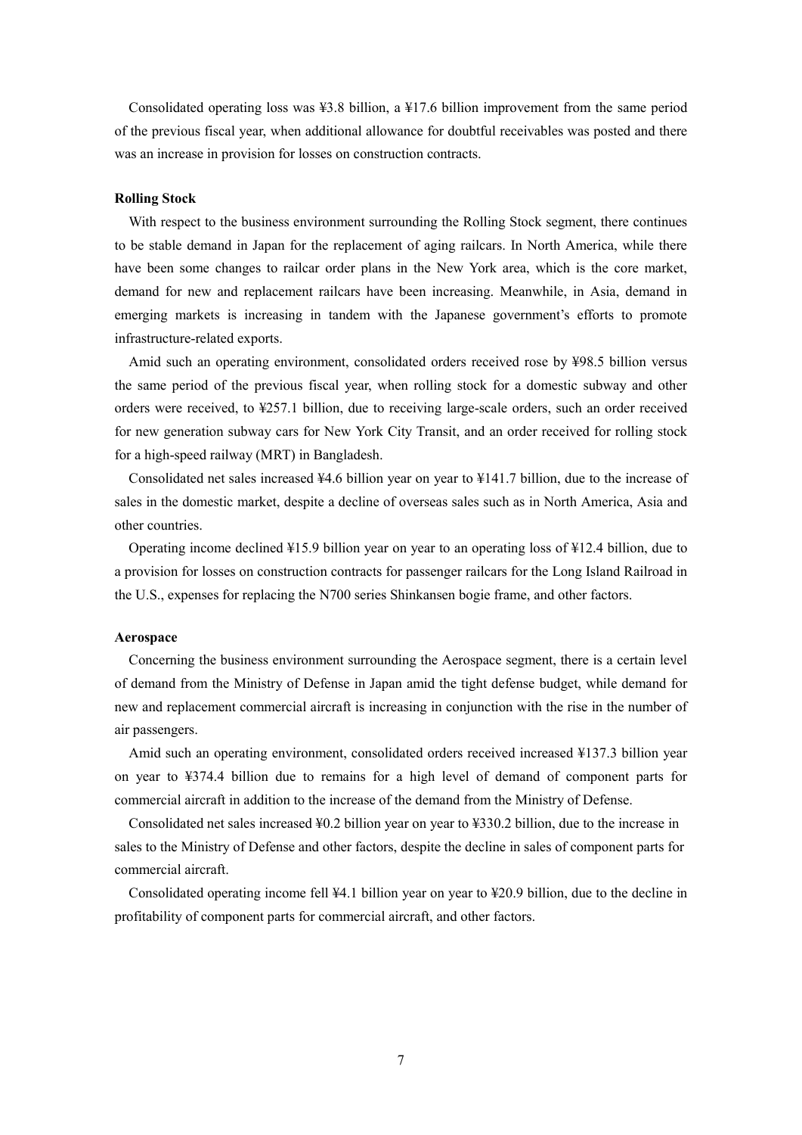Consolidated operating loss was ¥3.8 billion, a ¥17.6 billion improvement from the same period of the previous fiscal year, when additional allowance for doubtful receivables was posted and there was an increase in provision for losses on construction contracts.

# **Rolling Stock**

With respect to the business environment surrounding the Rolling Stock segment, there continues to be stable demand in Japan for the replacement of aging railcars. In North America, while there have been some changes to railcar order plans in the New York area, which is the core market, demand for new and replacement railcars have been increasing. Meanwhile, in Asia, demand in emerging markets is increasing in tandem with the Japanese government's efforts to promote infrastructure-related exports.

Amid such an operating environment, consolidated orders received rose by ¥98.5 billion versus the same period of the previous fiscal year, when rolling stock for a domestic subway and other orders were received, to ¥257.1 billion, due to receiving large-scale orders, such an order received for new generation subway cars for New York City Transit, and an order received for rolling stock for a high-speed railway (MRT) in Bangladesh.

Consolidated net sales increased ¥4.6 billion year on year to ¥141.7 billion, due to the increase of sales in the domestic market, despite a decline of overseas sales such as in North America, Asia and other countries.

Operating income declined ¥15.9 billion year on year to an operating loss of ¥12.4 billion, due to a provision for losses on construction contracts for passenger railcars for the Long Island Railroad in the U.S., expenses for replacing the N700 series Shinkansen bogie frame, and other factors.

#### **Aerospace**

Concerning the business environment surrounding the Aerospace segment, there is a certain level of demand from the Ministry of Defense in Japan amid the tight defense budget, while demand for new and replacement commercial aircraft is increasing in conjunction with the rise in the number of air passengers.

Amid such an operating environment, consolidated orders received increased ¥137.3 billion year on year to ¥374.4 billion due to remains for a high level of demand of component parts for commercial aircraft in addition to the increase of the demand from the Ministry of Defense.

Consolidated net sales increased ¥0.2 billion year on year to ¥330.2 billion, due to the increase in sales to the Ministry of Defense and other factors, despite the decline in sales of component parts for commercial aircraft.

Consolidated operating income fell ¥4.1 billion year on year to ¥20.9 billion, due to the decline in profitability of component parts for commercial aircraft, and other factors.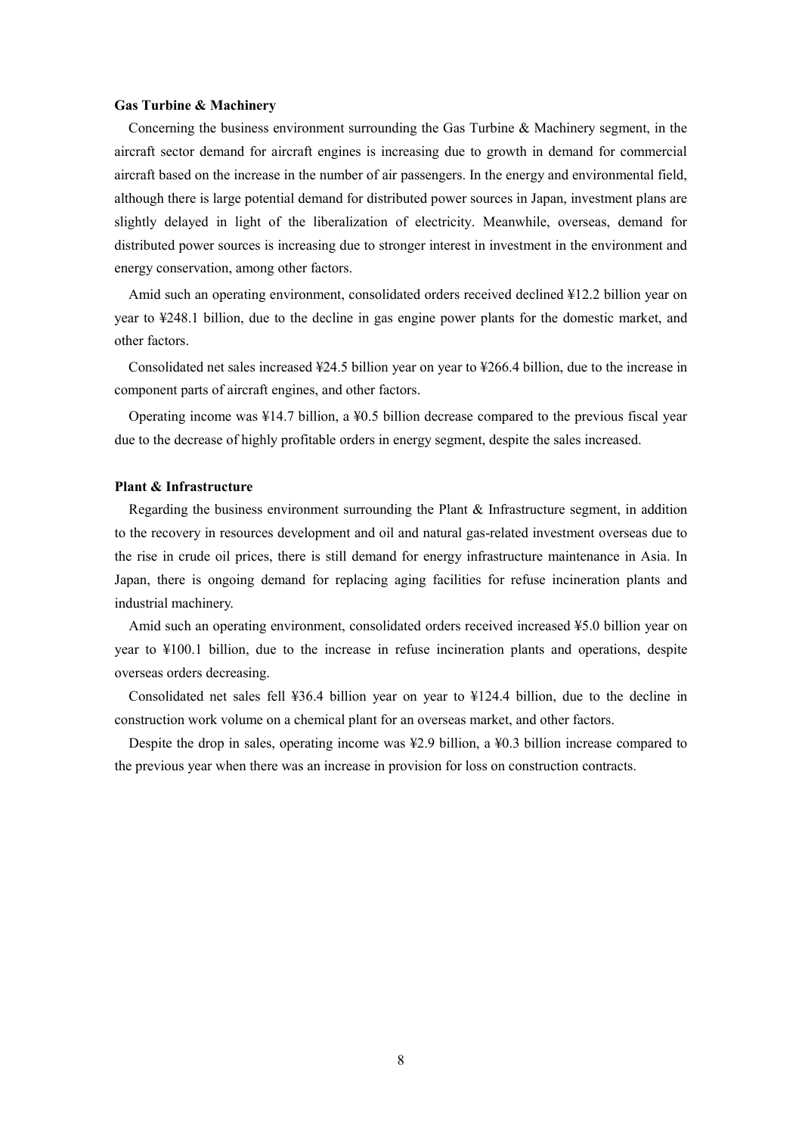#### **Gas Turbine & Machinery**

Concerning the business environment surrounding the Gas Turbine & Machinery segment, in the aircraft sector demand for aircraft engines is increasing due to growth in demand for commercial aircraft based on the increase in the number of air passengers. In the energy and environmental field, although there is large potential demand for distributed power sources in Japan, investment plans are slightly delayed in light of the liberalization of electricity. Meanwhile, overseas, demand for distributed power sources is increasing due to stronger interest in investment in the environment and energy conservation, among other factors.

Amid such an operating environment, consolidated orders received declined ¥12.2 billion year on year to ¥248.1 billion, due to the decline in gas engine power plants for the domestic market, and other factors.

Consolidated net sales increased ¥24.5 billion year on year to ¥266.4 billion, due to the increase in component parts of aircraft engines, and other factors.

Operating income was ¥14.7 billion, a ¥0.5 billion decrease compared to the previous fiscal year due to the decrease of highly profitable orders in energy segment, despite the sales increased.

#### **Plant & Infrastructure**

Regarding the business environment surrounding the Plant & Infrastructure segment, in addition to the recovery in resources development and oil and natural gas-related investment overseas due to the rise in crude oil prices, there is still demand for energy infrastructure maintenance in Asia. In Japan, there is ongoing demand for replacing aging facilities for refuse incineration plants and industrial machinery.

Amid such an operating environment, consolidated orders received increased ¥5.0 billion year on year to ¥100.1 billion, due to the increase in refuse incineration plants and operations, despite overseas orders decreasing.

Consolidated net sales fell ¥36.4 billion year on year to ¥124.4 billion, due to the decline in construction work volume on a chemical plant for an overseas market, and other factors.

Despite the drop in sales, operating income was ¥2.9 billion, a ¥0.3 billion increase compared to the previous year when there was an increase in provision for loss on construction contracts.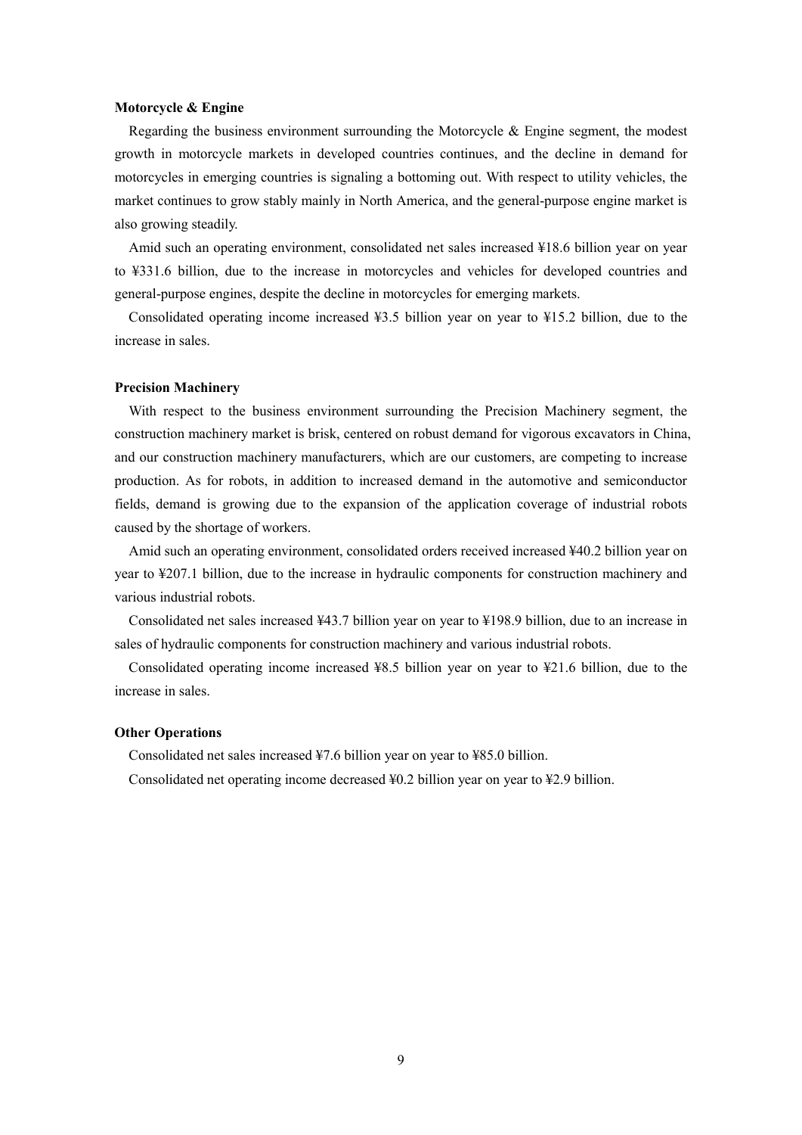#### **Motorcycle & Engine**

Regarding the business environment surrounding the Motorcycle & Engine segment, the modest growth in motorcycle markets in developed countries continues, and the decline in demand for motorcycles in emerging countries is signaling a bottoming out. With respect to utility vehicles, the market continues to grow stably mainly in North America, and the general-purpose engine market is also growing steadily.

Amid such an operating environment, consolidated net sales increased ¥18.6 billion year on year to ¥331.6 billion, due to the increase in motorcycles and vehicles for developed countries and general-purpose engines, despite the decline in motorcycles for emerging markets.

Consolidated operating income increased ¥3.5 billion year on year to ¥15.2 billion, due to the increase in sales.

#### **Precision Machinery**

With respect to the business environment surrounding the Precision Machinery segment, the construction machinery market is brisk, centered on robust demand for vigorous excavators in China, and our construction machinery manufacturers, which are our customers, are competing to increase production. As for robots, in addition to increased demand in the automotive and semiconductor fields, demand is growing due to the expansion of the application coverage of industrial robots caused by the shortage of workers.

Amid such an operating environment, consolidated orders received increased ¥40.2 billion year on year to ¥207.1 billion, due to the increase in hydraulic components for construction machinery and various industrial robots.

Consolidated net sales increased ¥43.7 billion year on year to ¥198.9 billion, due to an increase in sales of hydraulic components for construction machinery and various industrial robots.

Consolidated operating income increased ¥8.5 billion year on year to ¥21.6 billion, due to the increase in sales.

#### **Other Operations**

Consolidated net sales increased ¥7.6 billion year on year to ¥85.0 billion.

Consolidated net operating income decreased ¥0.2 billion year on year to ¥2.9 billion.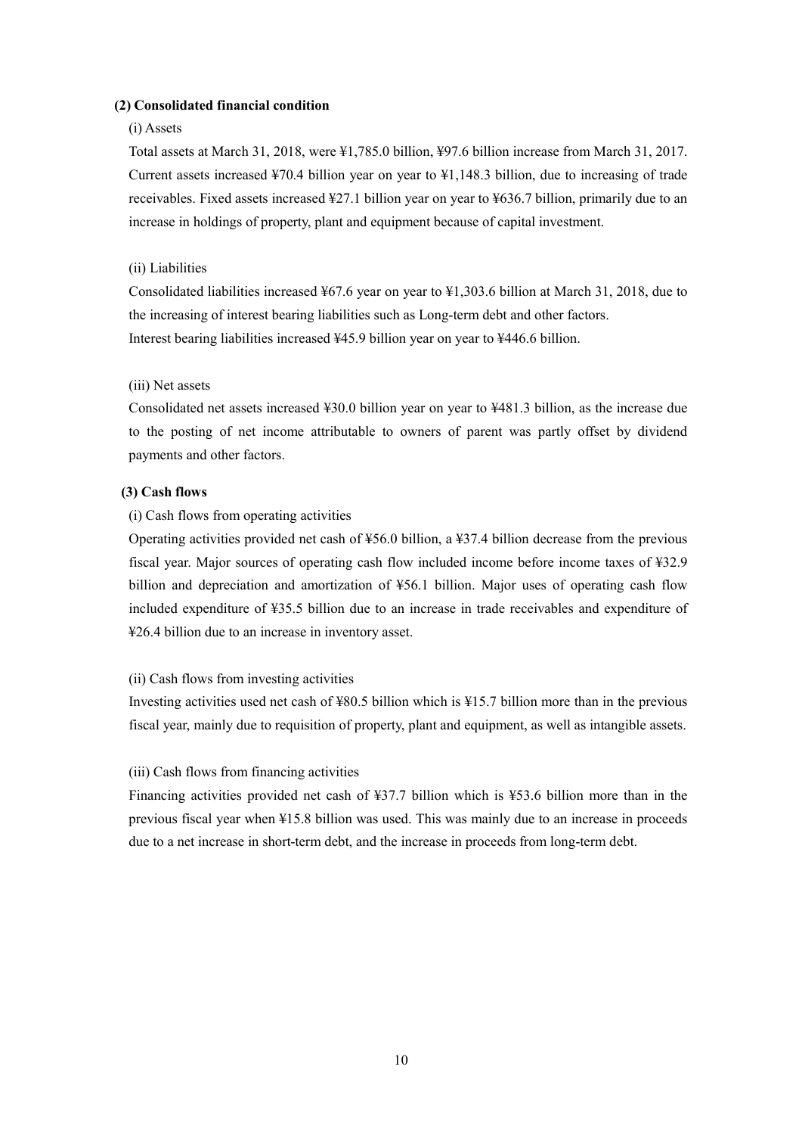# **(2) Consolidated financial condition**

# (i) Assets

Total assets at March 31, 2018, were ¥1,785.0 billion, ¥97.6 billion increase from March 31, 2017. Current assets increased ¥70.4 billion year on year to ¥1,148.3 billion, due to increasing of trade receivables. Fixed assets increased ¥27.1 billion year on year to ¥636.7 billion, primarily due to an increase in holdings of property, plant and equipment because of capital investment.

# (ii) Liabilities

Consolidated liabilities increased ¥67.6 year on year to ¥1,303.6 billion at March 31, 2018, due to the increasing of interest bearing liabilities such as Long-term debt and other factors. Interest bearing liabilities increased ¥45.9 billion year on year to ¥446.6 billion.

# (iii) Net assets

Consolidated net assets increased ¥30.0 billion year on year to ¥481.3 billion, as the increase due to the posting of net income attributable to owners of parent was partly offset by dividend payments and other factors.

# **(3) Cash flows**

# (i) Cash flows from operating activities

Operating activities provided net cash of ¥56.0 billion, a ¥37.4 billion decrease from the previous fiscal year. Major sources of operating cash flow included income before income taxes of ¥32.9 billion and depreciation and amortization of ¥56.1 billion. Major uses of operating cash flow included expenditure of ¥35.5 billion due to an increase in trade receivables and expenditure of ¥26.4 billion due to an increase in inventory asset.

#### (ii) Cash flows from investing activities

Investing activities used net cash of ¥80.5 billion which is ¥15.7 billion more than in the previous fiscal year, mainly due to requisition of property, plant and equipment, as well as intangible assets.

#### (iii) Cash flows from financing activities

Financing activities provided net cash of ¥37.7 billion which is ¥53.6 billion more than in the previous fiscal year when ¥15.8 billion was used. This was mainly due to an increase in proceeds due to a net increase in short-term debt, and the increase in proceeds from long-term debt.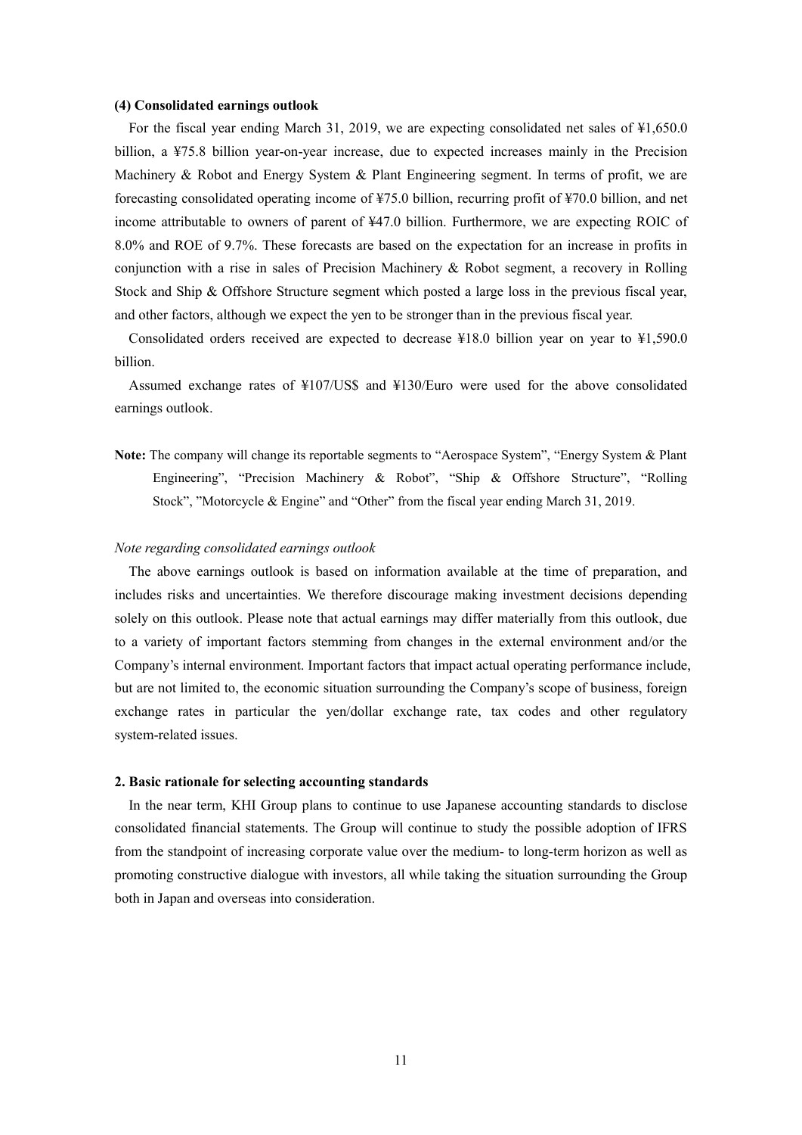#### **(4) Consolidated earnings outlook**

For the fiscal year ending March 31, 2019, we are expecting consolidated net sales of  $\frac{1}{2}1,650.0$ billion, a ¥75.8 billion year-on-year increase, due to expected increases mainly in the Precision Machinery & Robot and Energy System & Plant Engineering segment. In terms of profit, we are forecasting consolidated operating income of ¥75.0 billion, recurring profit of ¥70.0 billion, and net income attributable to owners of parent of ¥47.0 billion. Furthermore, we are expecting ROIC of 8.0% and ROE of 9.7%. These forecasts are based on the expectation for an increase in profits in conjunction with a rise in sales of Precision Machinery  $\&$  Robot segment, a recovery in Rolling Stock and Ship & Offshore Structure segment which posted a large loss in the previous fiscal year, and other factors, although we expect the yen to be stronger than in the previous fiscal year.

Consolidated orders received are expected to decrease ¥18.0 billion year on year to ¥1,590.0 billion.

Assumed exchange rates of ¥107/US\$ and ¥130/Euro were used for the above consolidated earnings outlook.

**Note:** The company will change its reportable segments to "Aerospace System", "Energy System & Plant Engineering", "Precision Machinery & Robot", "Ship & Offshore Structure", "Rolling Stock", "Motorcycle & Engine" and "Other" from the fiscal year ending March 31, 2019.

#### *Note regarding consolidated earnings outlook*

The above earnings outlook is based on information available at the time of preparation, and includes risks and uncertainties. We therefore discourage making investment decisions depending solely on this outlook. Please note that actual earnings may differ materially from this outlook, due to a variety of important factors stemming from changes in the external environment and/or the Company's internal environment. Important factors that impact actual operating performance include, but are not limited to, the economic situation surrounding the Company's scope of business, foreign exchange rates in particular the yen/dollar exchange rate, tax codes and other regulatory system-related issues.

#### **2. Basic rationale for selecting accounting standards**

In the near term, KHI Group plans to continue to use Japanese accounting standards to disclose consolidated financial statements. The Group will continue to study the possible adoption of IFRS from the standpoint of increasing corporate value over the medium- to long-term horizon as well as promoting constructive dialogue with investors, all while taking the situation surrounding the Group both in Japan and overseas into consideration.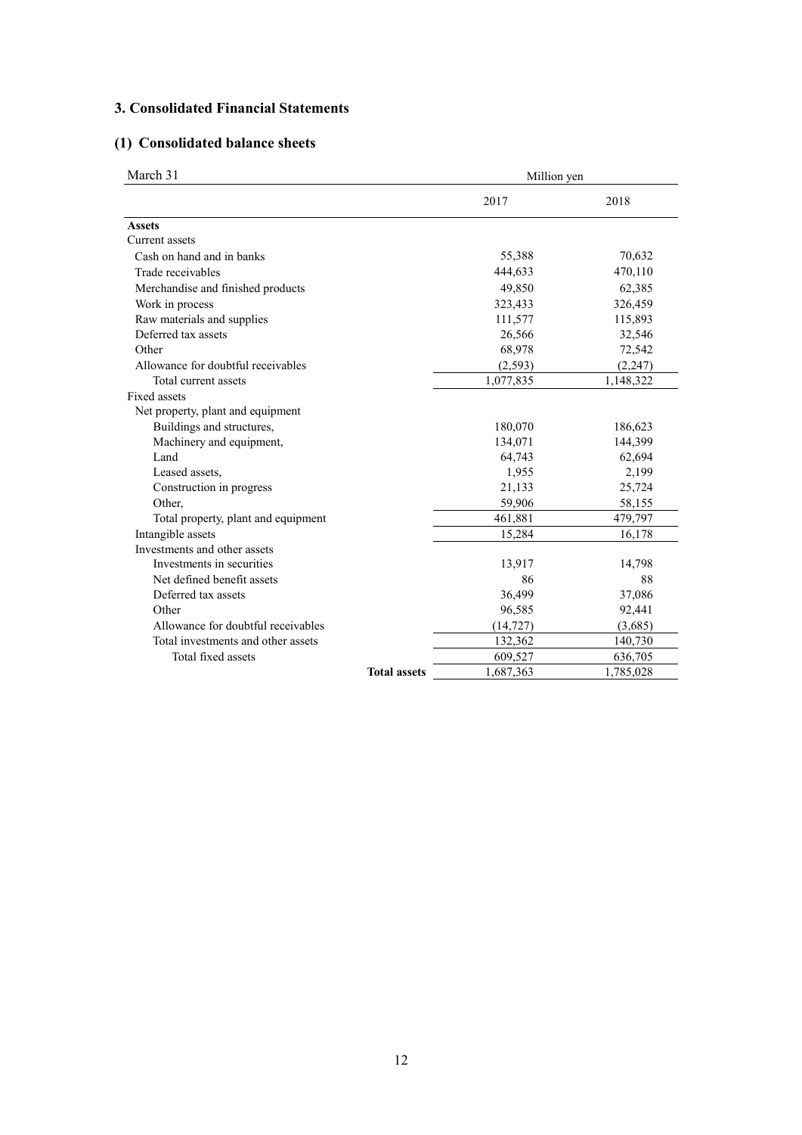# **3. Consolidated Financial Statements**

# **(1) Consolidated balance sheets**

| March 31                            |                     | Million yen |           |  |  |
|-------------------------------------|---------------------|-------------|-----------|--|--|
|                                     |                     | 2017        | 2018      |  |  |
| <b>Assets</b>                       |                     |             |           |  |  |
| Current assets                      |                     |             |           |  |  |
| Cash on hand and in banks           |                     | 55,388      | 70,632    |  |  |
| Trade receivables                   |                     | 444,633     | 470,110   |  |  |
| Merchandise and finished products   |                     | 49,850      | 62,385    |  |  |
| Work in process                     |                     | 323,433     | 326,459   |  |  |
| Raw materials and supplies          |                     | 111,577     | 115,893   |  |  |
| Deferred tax assets                 |                     | 26,566      | 32,546    |  |  |
| Other                               |                     | 68,978      | 72,542    |  |  |
| Allowance for doubtful receivables  |                     | (2, 593)    | (2, 247)  |  |  |
| Total current assets                |                     | 1,077,835   | 1,148,322 |  |  |
| <b>Fixed assets</b>                 |                     |             |           |  |  |
| Net property, plant and equipment   |                     |             |           |  |  |
| Buildings and structures,           |                     | 180,070     | 186,623   |  |  |
| Machinery and equipment,            |                     | 134,071     | 144,399   |  |  |
| Land                                |                     | 64,743      | 62,694    |  |  |
| Leased assets,                      |                     | 1,955       | 2,199     |  |  |
| Construction in progress            |                     | 21,133      | 25,724    |  |  |
| Other,                              |                     | 59,906      | 58,155    |  |  |
| Total property, plant and equipment |                     | 461,881     | 479,797   |  |  |
| Intangible assets                   |                     | 15,284      | 16,178    |  |  |
| Investments and other assets        |                     |             |           |  |  |
| Investments in securities           |                     | 13,917      | 14,798    |  |  |
| Net defined benefit assets          |                     | 86          | 88        |  |  |
| Deferred tax assets                 |                     | 36,499      | 37,086    |  |  |
| Other                               |                     | 96,585      | 92,441    |  |  |
| Allowance for doubtful receivables  |                     | (14, 727)   | (3,685)   |  |  |
| Total investments and other assets  |                     | 132,362     | 140,730   |  |  |
| Total fixed assets                  |                     | 609,527     | 636,705   |  |  |
|                                     | <b>Total assets</b> | 1,687,363   | 1,785,028 |  |  |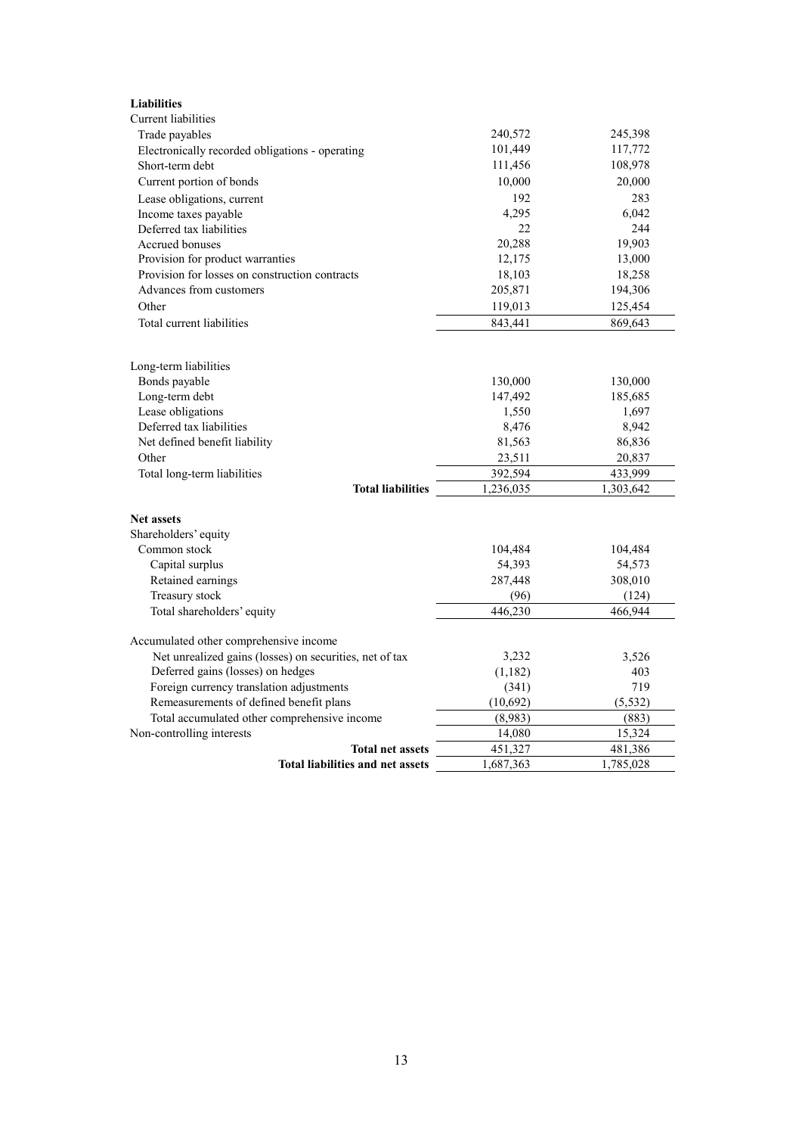| <b>Liabilities</b>                                      |           |           |
|---------------------------------------------------------|-----------|-----------|
| <b>Current</b> liabilities                              |           |           |
| Trade payables                                          | 240,572   | 245,398   |
| Electronically recorded obligations - operating         | 101,449   | 117,772   |
| Short-term debt                                         | 111,456   | 108,978   |
| Current portion of bonds                                | 10,000    | 20,000    |
| Lease obligations, current                              | 192       | 283       |
| Income taxes payable                                    | 4,295     | 6,042     |
| Deferred tax liabilities                                | 22        | 244       |
| Accrued bonuses                                         | 20,288    | 19,903    |
| Provision for product warranties                        | 12,175    | 13,000    |
| Provision for losses on construction contracts          | 18,103    | 18,258    |
| Advances from customers                                 | 205,871   | 194,306   |
| Other                                                   | 119,013   | 125,454   |
| Total current liabilities                               | 843,441   | 869,643   |
|                                                         |           |           |
| Long-term liabilities                                   |           |           |
| Bonds payable                                           | 130,000   | 130,000   |
| Long-term debt                                          | 147,492   | 185,685   |
| Lease obligations                                       | 1,550     | 1,697     |
| Deferred tax liabilities                                | 8,476     | 8,942     |
| Net defined benefit liability                           | 81,563    | 86,836    |
| Other                                                   | 23,511    | 20,837    |
| Total long-term liabilities                             | 392,594   | 433,999   |
| <b>Total liabilities</b>                                | 1,236,035 | 1,303,642 |
|                                                         |           |           |
| <b>Net assets</b>                                       |           |           |
| Shareholders' equity                                    |           |           |
| Common stock                                            | 104,484   | 104,484   |
| Capital surplus                                         | 54,393    | 54,573    |
| Retained earnings                                       | 287,448   | 308,010   |
| Treasury stock                                          | (96)      | (124)     |
| Total shareholders' equity                              | 446,230   | 466,944   |
| Accumulated other comprehensive income                  |           |           |
| Net unrealized gains (losses) on securities, net of tax | 3,232     | 3,526     |
| Deferred gains (losses) on hedges                       | (1,182)   | 403       |
| Foreign currency translation adjustments                | (341)     | 719       |
| Remeasurements of defined benefit plans                 | (10,692)  | (5, 532)  |
| Total accumulated other comprehensive income            | (8,983)   | (883)     |
| Non-controlling interests                               | 14,080    | 15,324    |
| <b>Total net assets</b>                                 | 451,327   | 481,386   |
| <b>Total liabilities and net assets</b>                 | 1,687,363 | 1,785,028 |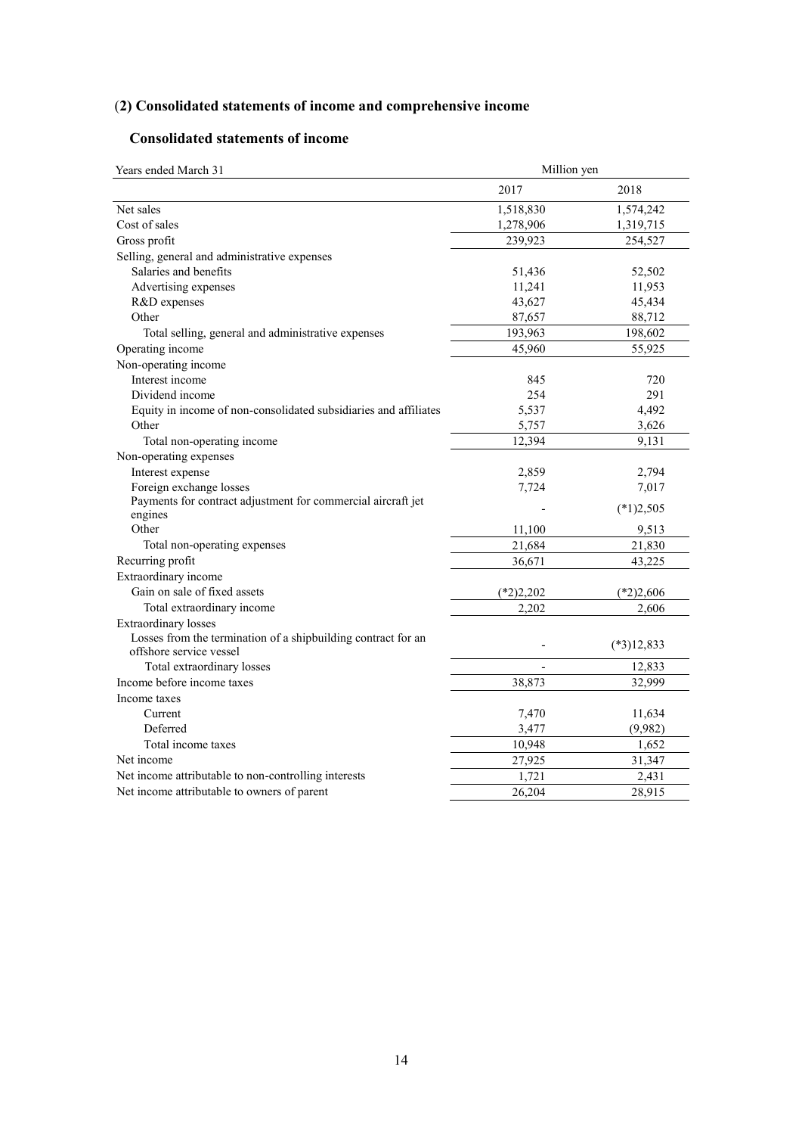# (**2) Consolidated statements of income and comprehensive income**

# **Consolidated statements of income**

| Years ended March 31                                                                     | Million yen |              |  |  |
|------------------------------------------------------------------------------------------|-------------|--------------|--|--|
|                                                                                          | 2017        | 2018         |  |  |
| Net sales                                                                                | 1,518,830   | 1,574,242    |  |  |
| Cost of sales                                                                            | 1,278,906   | 1,319,715    |  |  |
| Gross profit                                                                             | 239,923     | 254,527      |  |  |
| Selling, general and administrative expenses                                             |             |              |  |  |
| Salaries and benefits                                                                    | 51,436      | 52,502       |  |  |
| Advertising expenses                                                                     | 11,241      | 11,953       |  |  |
| R&D expenses                                                                             | 43,627      | 45,434       |  |  |
| Other                                                                                    | 87,657      | 88,712       |  |  |
| Total selling, general and administrative expenses                                       | 193,963     | 198,602      |  |  |
| Operating income                                                                         | 45,960      | 55,925       |  |  |
| Non-operating income                                                                     |             |              |  |  |
| Interest income                                                                          | 845         | 720          |  |  |
| Dividend income                                                                          | 254         | 291          |  |  |
| Equity in income of non-consolidated subsidiaries and affiliates                         | 5,537       | 4,492        |  |  |
| Other                                                                                    | 5,757       | 3,626        |  |  |
| Total non-operating income                                                               | 12,394      | 9,131        |  |  |
| Non-operating expenses                                                                   |             |              |  |  |
| Interest expense                                                                         | 2,859       | 2,794        |  |  |
| Foreign exchange losses                                                                  | 7,724       | 7,017        |  |  |
| Payments for contract adjustment for commercial aircraft jet                             |             |              |  |  |
| engines                                                                                  |             | $(*1)2,505$  |  |  |
| Other                                                                                    | 11,100      | 9,513        |  |  |
| Total non-operating expenses                                                             | 21,684      | 21,830       |  |  |
| Recurring profit                                                                         | 36,671      | 43,225       |  |  |
| Extraordinary income                                                                     |             |              |  |  |
| Gain on sale of fixed assets                                                             | $(*2)2,202$ | $(*2)2,606$  |  |  |
| Total extraordinary income                                                               | 2,202       | 2,606        |  |  |
| Extraordinary losses                                                                     |             |              |  |  |
| Losses from the termination of a shipbuilding contract for an<br>offshore service vessel |             | $(*3)12,833$ |  |  |
| Total extraordinary losses                                                               |             | 12,833       |  |  |
| Income before income taxes                                                               | 38,873      | 32,999       |  |  |
| Income taxes                                                                             |             |              |  |  |
| Current                                                                                  | 7,470       | 11,634       |  |  |
| Deferred                                                                                 | 3,477       | (9,982)      |  |  |
| Total income taxes                                                                       | 10,948      | 1,652        |  |  |
| Net income                                                                               | 27,925      | 31,347       |  |  |
| Net income attributable to non-controlling interests                                     | 1,721       | 2,431        |  |  |
| Net income attributable to owners of parent                                              | 26,204      | 28,915       |  |  |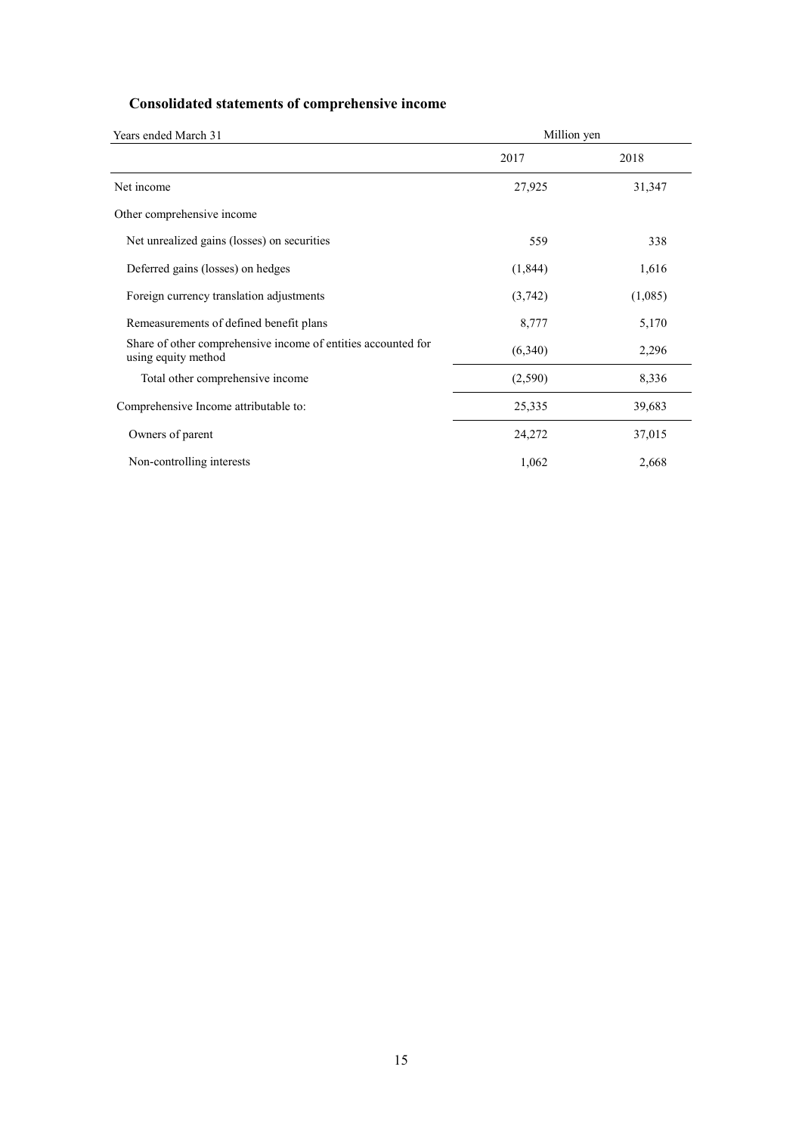# **Consolidated statements of comprehensive income**

| Years ended March 31                                                                 | Million yen |         |
|--------------------------------------------------------------------------------------|-------------|---------|
|                                                                                      | 2017        | 2018    |
| Net income                                                                           | 27,925      | 31,347  |
| Other comprehensive income                                                           |             |         |
| Net unrealized gains (losses) on securities                                          | 559         | 338     |
| Deferred gains (losses) on hedges                                                    | (1, 844)    | 1,616   |
| Foreign currency translation adjustments                                             | (3,742)     | (1,085) |
| Remeasurements of defined benefit plans                                              | 8,777       | 5,170   |
| Share of other comprehensive income of entities accounted for<br>using equity method | (6,340)     | 2,296   |
| Total other comprehensive income                                                     | (2,590)     | 8,336   |
| Comprehensive Income attributable to:                                                | 25,335      | 39,683  |
| Owners of parent                                                                     | 24,272      | 37,015  |
| Non-controlling interests                                                            | 1,062       | 2,668   |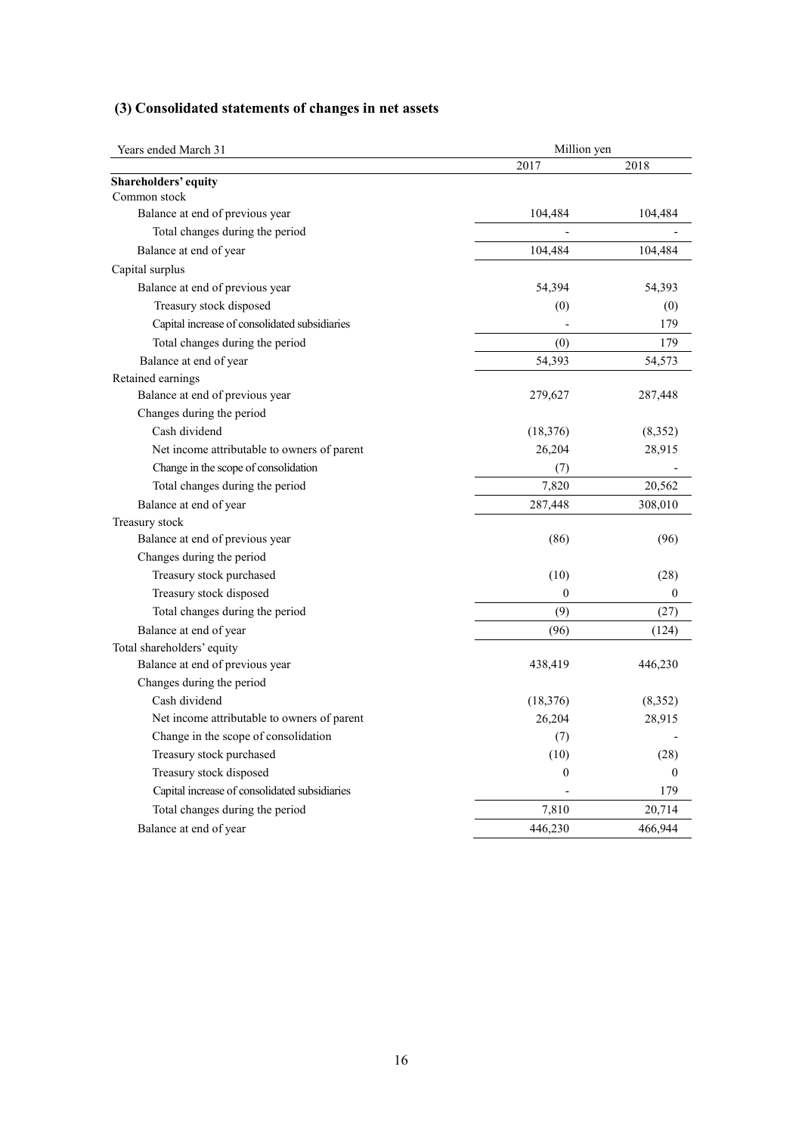# **(3) Consolidated statements of changes in net assets**

| Years ended March 31                          | Million yen  |          |  |  |
|-----------------------------------------------|--------------|----------|--|--|
|                                               | 2017         | 2018     |  |  |
| Shareholders' equity                          |              |          |  |  |
| Common stock                                  |              |          |  |  |
| Balance at end of previous year               | 104,484      | 104,484  |  |  |
| Total changes during the period               |              |          |  |  |
| Balance at end of year                        | 104,484      | 104,484  |  |  |
| Capital surplus                               |              |          |  |  |
| Balance at end of previous year               | 54,394       | 54,393   |  |  |
| Treasury stock disposed                       | (0)          | (0)      |  |  |
| Capital increase of consolidated subsidiaries |              | 179      |  |  |
| Total changes during the period               | (0)          | 179      |  |  |
| Balance at end of year                        | 54,393       | 54,573   |  |  |
| Retained earnings                             |              |          |  |  |
| Balance at end of previous year               | 279,627      | 287,448  |  |  |
| Changes during the period                     |              |          |  |  |
| Cash dividend                                 | (18, 376)    | (8, 352) |  |  |
| Net income attributable to owners of parent   | 26,204       | 28,915   |  |  |
| Change in the scope of consolidation          | (7)          |          |  |  |
| Total changes during the period               | 7,820        | 20,562   |  |  |
| Balance at end of year                        | 287,448      | 308,010  |  |  |
| Treasury stock                                |              |          |  |  |
| Balance at end of previous year               | (86)         | (96)     |  |  |
| Changes during the period                     |              |          |  |  |
| Treasury stock purchased                      | (10)         | (28)     |  |  |
| Treasury stock disposed                       | $\theta$     | $\theta$ |  |  |
| Total changes during the period               | (9)          | (27)     |  |  |
| Balance at end of year                        | (96)         | (124)    |  |  |
| Total shareholders' equity                    |              |          |  |  |
| Balance at end of previous year               | 438,419      | 446,230  |  |  |
| Changes during the period                     |              |          |  |  |
| Cash dividend                                 | (18, 376)    | (8,352)  |  |  |
| Net income attributable to owners of parent   | 26,204       | 28,915   |  |  |
| Change in the scope of consolidation          | (7)          |          |  |  |
| Treasury stock purchased                      | (10)         | (28)     |  |  |
| Treasury stock disposed                       | $\mathbf{0}$ | $\theta$ |  |  |
| Capital increase of consolidated subsidiaries |              | 179      |  |  |
| Total changes during the period               | 7,810        | 20,714   |  |  |
| Balance at end of year                        | 446,230      | 466,944  |  |  |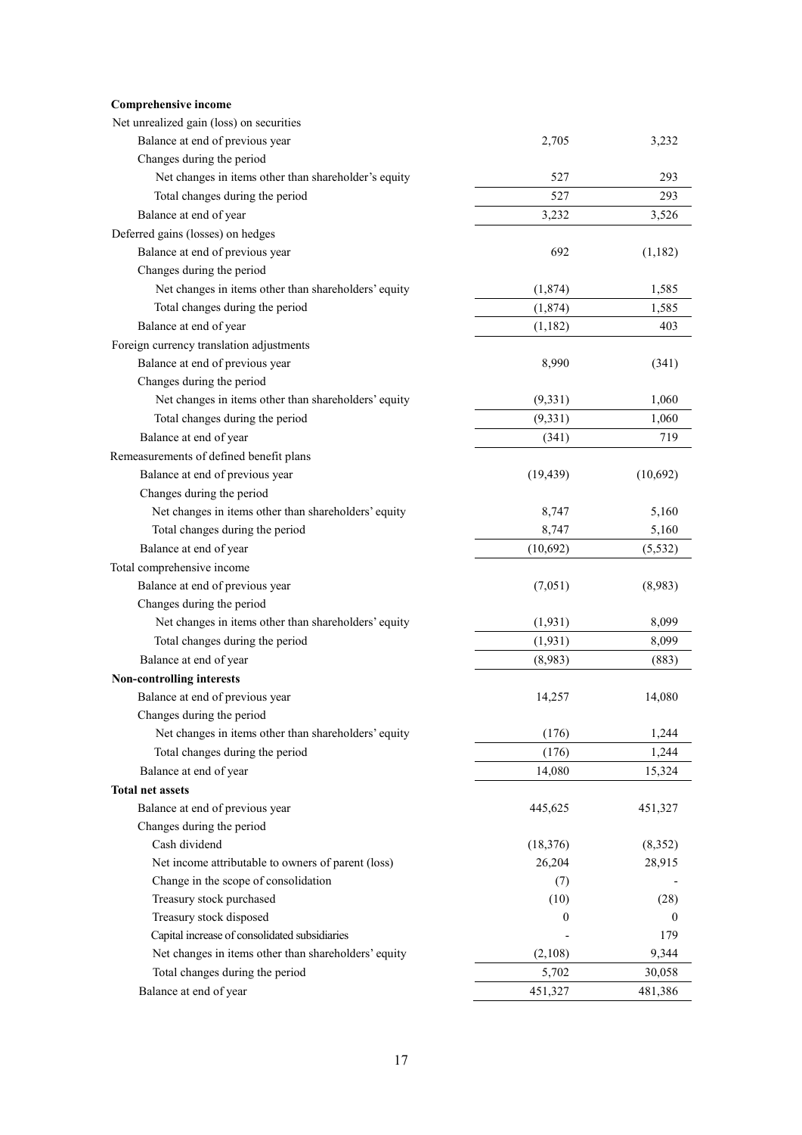| Comprehensive income                                 |           |          |
|------------------------------------------------------|-----------|----------|
| Net unrealized gain (loss) on securities             |           |          |
| Balance at end of previous year                      | 2,705     | 3,232    |
| Changes during the period                            |           |          |
| Net changes in items other than shareholder's equity | 527       | 293      |
| Total changes during the period                      | 527       | 293      |
| Balance at end of year                               | 3,232     | 3,526    |
| Deferred gains (losses) on hedges                    |           |          |
| Balance at end of previous year                      | 692       | (1,182)  |
| Changes during the period                            |           |          |
| Net changes in items other than shareholders' equity | (1, 874)  | 1,585    |
| Total changes during the period                      | (1, 874)  | 1,585    |
| Balance at end of year                               | (1,182)   | 403      |
| Foreign currency translation adjustments             |           |          |
| Balance at end of previous year                      | 8,990     | (341)    |
| Changes during the period                            |           |          |
| Net changes in items other than shareholders' equity | (9, 331)  | 1,060    |
| Total changes during the period                      | (9, 331)  | 1,060    |
| Balance at end of year                               | (341)     | 719      |
| Remeasurements of defined benefit plans              |           |          |
| Balance at end of previous year                      | (19, 439) | (10,692) |
| Changes during the period                            |           |          |
| Net changes in items other than shareholders' equity | 8,747     | 5,160    |
| Total changes during the period                      | 8,747     | 5,160    |
| Balance at end of year                               | (10,692)  | (5, 532) |
| Total comprehensive income                           |           |          |
| Balance at end of previous year                      | (7,051)   | (8,983)  |
| Changes during the period                            |           |          |
| Net changes in items other than shareholders' equity | (1, 931)  | 8,099    |
|                                                      |           |          |
| Total changes during the period                      | (1, 931)  | 8,099    |
| Balance at end of year                               | (8,983)   | (883)    |
| <b>Non-controlling interests</b>                     |           |          |
| Balance at end of previous year                      | 14,257    | 14,080   |
| Changes during the period                            |           |          |
| Net changes in items other than shareholders' equity | (176)     | 1,244    |
| Total changes during the period                      | (176)     | 1,244    |
| Balance at end of year                               | 14,080    | 15,324   |
| <b>Total net assets</b>                              |           |          |
| Balance at end of previous year                      | 445,625   | 451,327  |
| Changes during the period                            |           |          |
| Cash dividend                                        | (18, 376) | (8,352)  |
| Net income attributable to owners of parent (loss)   | 26,204    | 28,915   |
| Change in the scope of consolidation                 | (7)       |          |
| Treasury stock purchased                             | (10)      | (28)     |
| Treasury stock disposed                              | 0         | 0        |
| Capital increase of consolidated subsidiaries        |           | 179      |
| Net changes in items other than shareholders' equity | (2,108)   | 9,344    |
| Total changes during the period                      | 5,702     | 30,058   |
| Balance at end of year                               | 451,327   | 481,386  |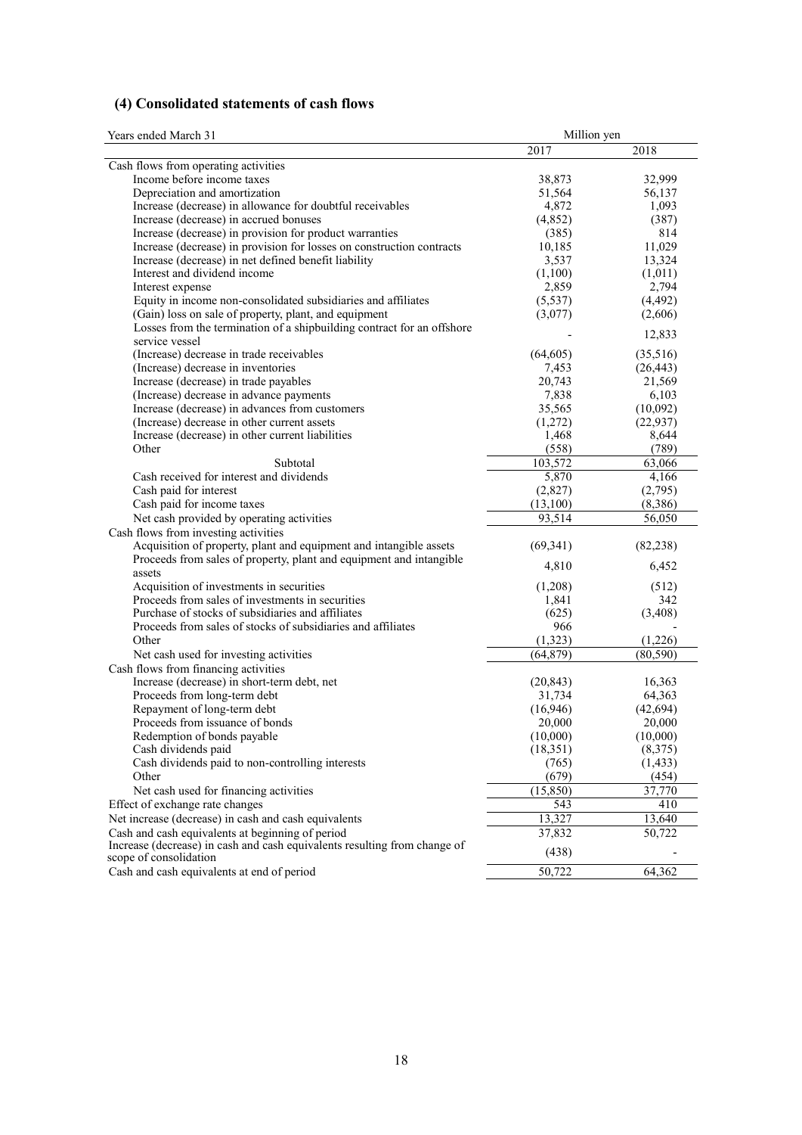# **(4) Consolidated statements of cash flows**

| Years ended March 31                                                                                | Million yen    |                   |  |  |
|-----------------------------------------------------------------------------------------------------|----------------|-------------------|--|--|
|                                                                                                     | 2017           | 2018              |  |  |
| Cash flows from operating activities                                                                |                |                   |  |  |
| Income before income taxes                                                                          | 38,873         | 32,999            |  |  |
| Depreciation and amortization                                                                       | 51,564         | 56,137            |  |  |
| Increase (decrease) in allowance for doubtful receivables                                           | 4,872          | 1,093             |  |  |
| Increase (decrease) in accrued bonuses                                                              | (4,852)        | (387)             |  |  |
| Increase (decrease) in provision for product warranties                                             | (385)          | 814               |  |  |
| Increase (decrease) in provision for losses on construction contracts                               | 10,185         | 11,029            |  |  |
| Increase (decrease) in net defined benefit liability                                                | 3,537          | 13,324            |  |  |
| Interest and dividend income                                                                        | (1,100)        | (1,011)           |  |  |
| Interest expense                                                                                    | 2,859          | 2,794             |  |  |
| Equity in income non-consolidated subsidiaries and affiliates                                       | (5, 537)       | (4, 492)          |  |  |
| (Gain) loss on sale of property, plant, and equipment                                               | (3,077)        | (2,606)           |  |  |
| Losses from the termination of a shipbuilding contract for an offshore                              |                |                   |  |  |
| service vessel                                                                                      |                | 12,833            |  |  |
| (Increase) decrease in trade receivables                                                            | (64, 605)      | (35,516)          |  |  |
| (Increase) decrease in inventories                                                                  | 7,453          | (26, 443)         |  |  |
| Increase (decrease) in trade payables                                                               | 20,743         | 21,569            |  |  |
| (Increase) decrease in advance payments                                                             | 7,838          | 6,103             |  |  |
| Increase (decrease) in advances from customers                                                      | 35,565         | (10,092)          |  |  |
| (Increase) decrease in other current assets                                                         | (1,272)        | (22, 937)         |  |  |
| Increase (decrease) in other current liabilities                                                    | 1,468          | 8,644             |  |  |
| Other                                                                                               | (558)          | (789)             |  |  |
| Subtotal                                                                                            | 103,572        | 63,066            |  |  |
| Cash received for interest and dividends                                                            | 5,870          | 4,166             |  |  |
| Cash paid for interest                                                                              | (2,827)        | (2,795)           |  |  |
| Cash paid for income taxes                                                                          | (13,100)       | (8,386)           |  |  |
| Net cash provided by operating activities                                                           | 93,514         | 56,050            |  |  |
| Cash flows from investing activities                                                                |                |                   |  |  |
| Acquisition of property, plant and equipment and intangible assets                                  | (69, 341)      | (82, 238)         |  |  |
| Proceeds from sales of property, plant and equipment and intangible                                 |                |                   |  |  |
| assets                                                                                              | 4,810          | 6,452             |  |  |
| Acquisition of investments in securities                                                            | (1,208)        | (512)             |  |  |
| Proceeds from sales of investments in securities                                                    | 1,841          | 342               |  |  |
| Purchase of stocks of subsidiaries and affiliates                                                   | (625)          | (3,408)           |  |  |
| Proceeds from sales of stocks of subsidiaries and affiliates                                        | 966            |                   |  |  |
| Other                                                                                               | (1,323)        | (1,226)           |  |  |
| Net cash used for investing activities                                                              | (64, 879)      | (80, 590)         |  |  |
| Cash flows from financing activities                                                                |                |                   |  |  |
| Increase (decrease) in short-term debt, net                                                         | (20, 843)      | 16,363            |  |  |
| Proceeds from long-term debt                                                                        | 31,734         | 64,363            |  |  |
| Repayment of long-term debt                                                                         | (16,946)       | (42, 694)         |  |  |
| Proceeds from issuance of bonds                                                                     | 20,000         | 20,000            |  |  |
| Redemption of bonds payable                                                                         | (10,000)       | (10,000)          |  |  |
| Cash dividends paid                                                                                 | (18, 351)      | (8,375)           |  |  |
| Cash dividends paid to non-controlling interests                                                    |                |                   |  |  |
| Other                                                                                               | (765)<br>(679) | (1, 433)<br>(454) |  |  |
|                                                                                                     |                |                   |  |  |
| Net cash used for financing activities                                                              | (15, 850)      | 37,770            |  |  |
| Effect of exchange rate changes                                                                     | 543            | 410               |  |  |
| Net increase (decrease) in cash and cash equivalents                                                | 13,327         | 13,640            |  |  |
| Cash and cash equivalents at beginning of period                                                    | 37,832         | 50,722            |  |  |
| Increase (decrease) in cash and cash equivalents resulting from change of<br>scope of consolidation | (438)          |                   |  |  |
| Cash and cash equivalents at end of period                                                          |                |                   |  |  |
|                                                                                                     | 50,722         | 64,362            |  |  |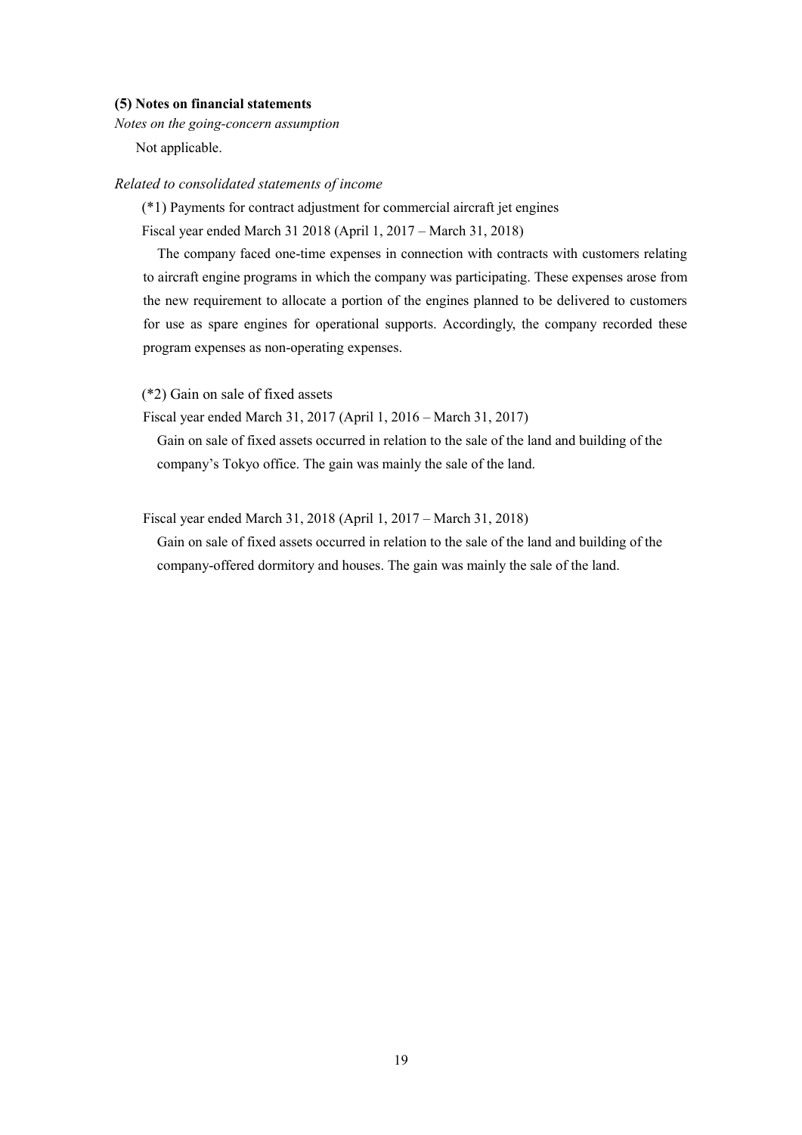#### **(5) Notes on financial statements**

*Notes on the going-concern assumption* 

Not applicable.

### *Related to consolidated statements of income*

(\*1) Payments for contract adjustment for commercial aircraft jet engines

Fiscal year ended March 31 2018 (April 1, 2017 – March 31, 2018)

The company faced one-time expenses in connection with contracts with customers relating to aircraft engine programs in which the company was participating. These expenses arose from the new requirement to allocate a portion of the engines planned to be delivered to customers for use as spare engines for operational supports. Accordingly, the company recorded these program expenses as non-operating expenses.

(\*2) Gain on sale of fixed assets

Fiscal year ended March 31, 2017 (April 1, 2016 – March 31, 2017)

Gain on sale of fixed assets occurred in relation to the sale of the land and building of the company's Tokyo office. The gain was mainly the sale of the land.

#### Fiscal year ended March 31, 2018 (April 1, 2017 – March 31, 2018)

Gain on sale of fixed assets occurred in relation to the sale of the land and building of the company-offered dormitory and houses. The gain was mainly the sale of the land.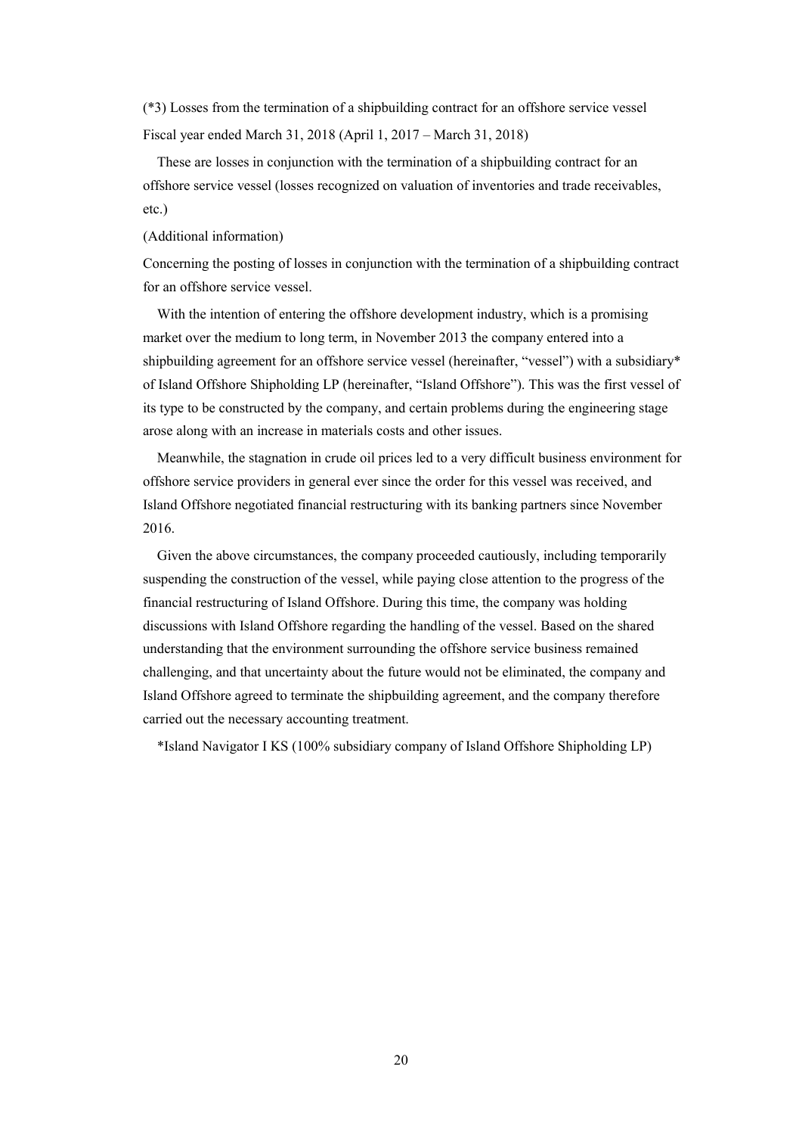(\*3) Losses from the termination of a shipbuilding contract for an offshore service vessel Fiscal year ended March 31, 2018 (April 1, 2017 – March 31, 2018)

These are losses in conjunction with the termination of a shipbuilding contract for an offshore service vessel (losses recognized on valuation of inventories and trade receivables, etc.)

(Additional information)

Concerning the posting of losses in conjunction with the termination of a shipbuilding contract for an offshore service vessel.

With the intention of entering the offshore development industry, which is a promising market over the medium to long term, in November 2013 the company entered into a shipbuilding agreement for an offshore service vessel (hereinafter, "vessel") with a subsidiary\* of Island Offshore Shipholding LP (hereinafter, "Island Offshore"). This was the first vessel of its type to be constructed by the company, and certain problems during the engineering stage arose along with an increase in materials costs and other issues.

Meanwhile, the stagnation in crude oil prices led to a very difficult business environment for offshore service providers in general ever since the order for this vessel was received, and Island Offshore negotiated financial restructuring with its banking partners since November 2016.

Given the above circumstances, the company proceeded cautiously, including temporarily suspending the construction of the vessel, while paying close attention to the progress of the financial restructuring of Island Offshore. During this time, the company was holding discussions with Island Offshore regarding the handling of the vessel. Based on the shared understanding that the environment surrounding the offshore service business remained challenging, and that uncertainty about the future would not be eliminated, the company and Island Offshore agreed to terminate the shipbuilding agreement, and the company therefore carried out the necessary accounting treatment.

\*Island Navigator I KS (100% subsidiary company of Island Offshore Shipholding LP)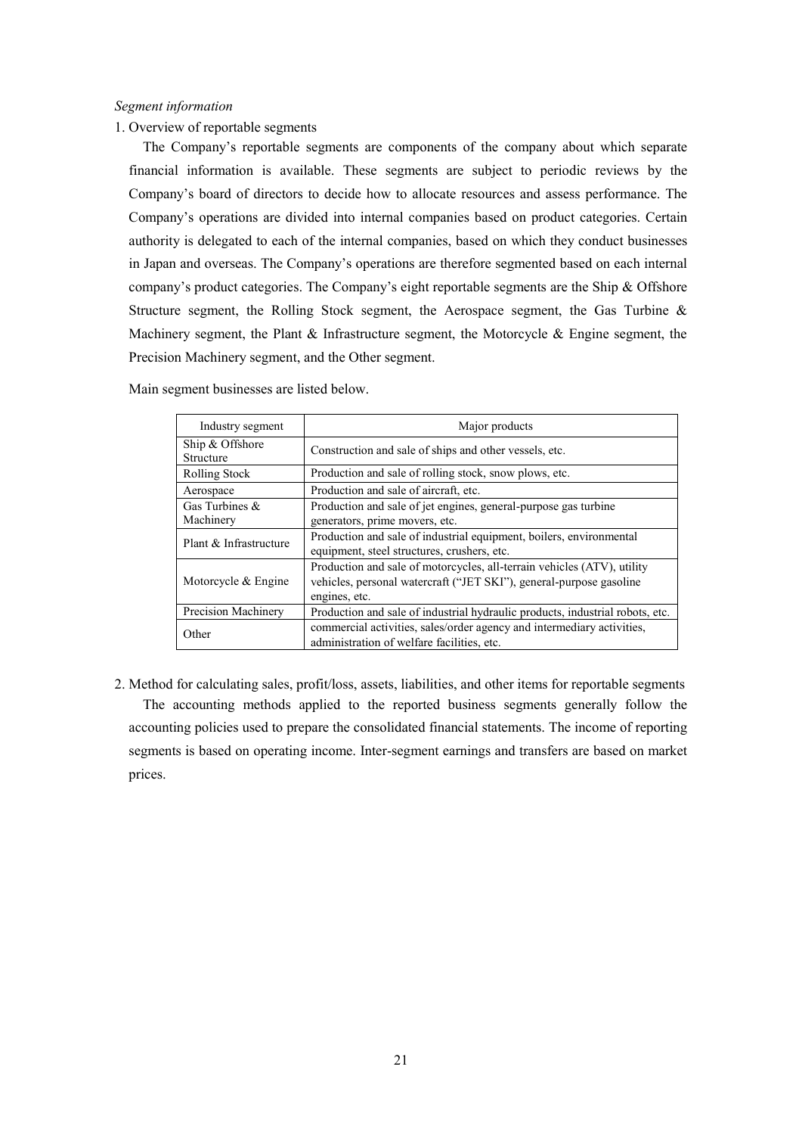#### *Segment information*

1. Overview of reportable segments

The Company's reportable segments are components of the company about which separate financial information is available. These segments are subject to periodic reviews by the Company's board of directors to decide how to allocate resources and assess performance. The Company's operations are divided into internal companies based on product categories. Certain authority is delegated to each of the internal companies, based on which they conduct businesses in Japan and overseas. The Company's operations are therefore segmented based on each internal company's product categories. The Company's eight reportable segments are the Ship & Offshore Structure segment, the Rolling Stock segment, the Aerospace segment, the Gas Turbine & Machinery segment, the Plant & Infrastructure segment, the Motorcycle & Engine segment, the Precision Machinery segment, and the Other segment.

| Industry segment               | Major products                                                                                                                                                  |
|--------------------------------|-----------------------------------------------------------------------------------------------------------------------------------------------------------------|
| Ship & Offshore<br>Structure   | Construction and sale of ships and other vessels, etc.                                                                                                          |
| Rolling Stock                  | Production and sale of rolling stock, snow plows, etc.                                                                                                          |
| Aerospace                      | Production and sale of aircraft, etc.                                                                                                                           |
| Gas Turbines $\&$<br>Machinery | Production and sale of jet engines, general-purpose gas turbine<br>generators, prime movers, etc.                                                               |
| Plant & Infrastructure         | Production and sale of industrial equipment, boilers, environmental<br>equipment, steel structures, crushers, etc.                                              |
| Motorcycle & Engine            | Production and sale of motorcycles, all-terrain vehicles (ATV), utility<br>vehicles, personal watercraft ("JET SKI"), general-purpose gasoline<br>engines, etc. |
| Precision Machinery            | Production and sale of industrial hydraulic products, industrial robots, etc.                                                                                   |
| Other                          | commercial activities, sales/order agency and intermediary activities,<br>administration of welfare facilities, etc.                                            |

Main segment businesses are listed below.

2. Method for calculating sales, profit/loss, assets, liabilities, and other items for reportable segments The accounting methods applied to the reported business segments generally follow the accounting policies used to prepare the consolidated financial statements. The income of reporting segments is based on operating income. Inter-segment earnings and transfers are based on market prices.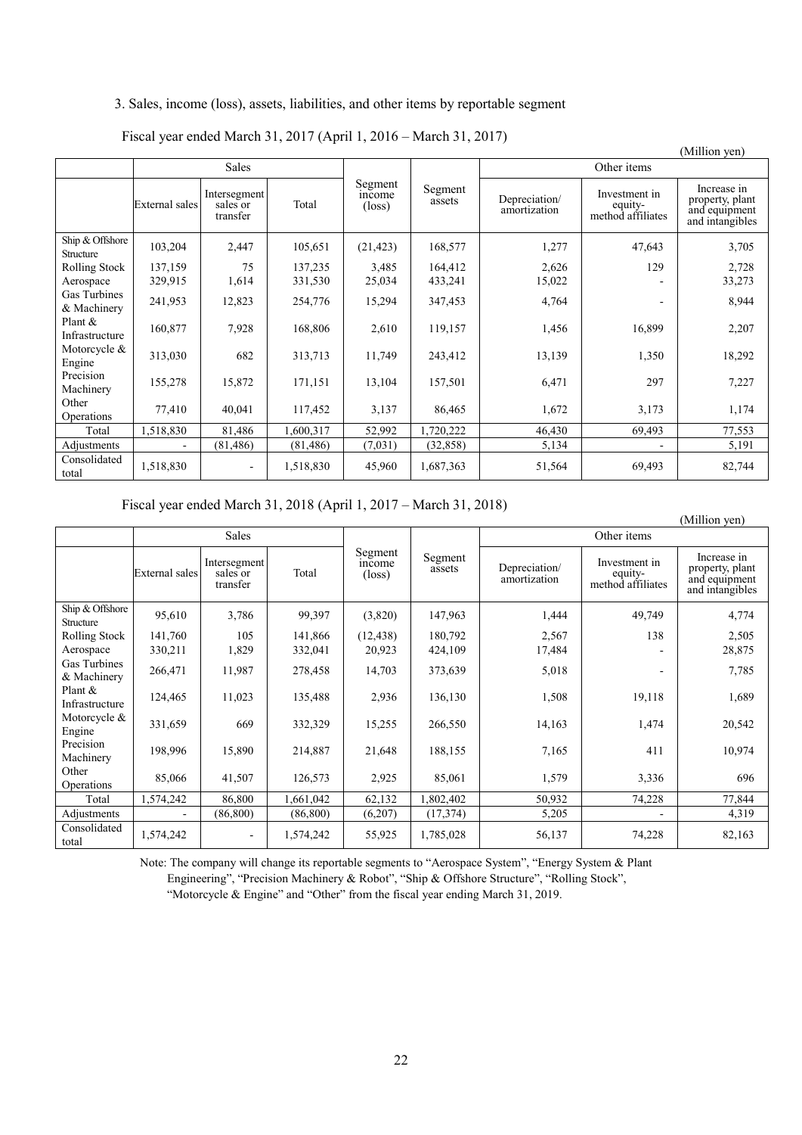# 3. Sales, income (loss), assets, liabilities, and other items by reportable segment

Fiscal year ended March 31, 2017 (April 1, 2016 – March 31, 2017)

| (Million yen)                |                |                                      |           |                                            |                   |                               |                                               |                                                                    |  |  |
|------------------------------|----------------|--------------------------------------|-----------|--------------------------------------------|-------------------|-------------------------------|-----------------------------------------------|--------------------------------------------------------------------|--|--|
|                              |                | <b>Sales</b>                         |           |                                            |                   | Other items                   |                                               |                                                                    |  |  |
|                              | External sales | Intersegment<br>sales or<br>transfer | Total     | Segment<br><i>ncome</i><br>$(\text{loss})$ | Segment<br>assets | Depreciation/<br>amortization | Investment in<br>equity-<br>method affiliates | Increase in<br>property, plant<br>and equipment<br>and intangibles |  |  |
| Ship & Offshore<br>Structure | 103,204        | 2,447                                | 105,651   | (21, 423)                                  | 168,577           | 1,277                         | 47,643                                        | 3,705                                                              |  |  |
| Rolling Stock                | 137,159        | 75                                   | 137,235   | 3,485                                      | 164,412           | 2,626                         | 129                                           | 2,728                                                              |  |  |
| Aerospace                    | 329,915        | 1,614                                | 331,530   | 25,034                                     | 433,241           | 15,022                        |                                               | 33,273                                                             |  |  |
| Gas Turbines<br>& Machinery  | 241,953        | 12,823                               | 254,776   | 15,294                                     | 347,453           | 4,764                         |                                               | 8,944                                                              |  |  |
| Plant $\&$<br>Infrastructure | 160,877        | 7,928                                | 168,806   | 2,610                                      | 119,157           | 1,456                         | 16,899                                        | 2,207                                                              |  |  |
| Motorcycle &<br>Engine       | 313,030        | 682                                  | 313,713   | 11,749                                     | 243,412           | 13,139                        | 1,350                                         | 18,292                                                             |  |  |
| Precision<br>Machinery       | 155,278        | 15,872                               | 171,151   | 13,104                                     | 157,501           | 6,471                         | 297                                           | 7,227                                                              |  |  |
| Other<br>Operations          | 77,410         | 40,041                               | 117,452   | 3,137                                      | 86,465            | 1,672                         | 3,173                                         | 1,174                                                              |  |  |
| Total                        | 1,518,830      | 81,486                               | 1,600,317 | 52,992                                     | 1,720,222         | 46,430                        | 69,493                                        | 77,553                                                             |  |  |
| Adjustments                  |                | (81, 486)                            | (81, 486) | (7,031)                                    | (32, 858)         | 5,134                         |                                               | 5,191                                                              |  |  |
| Consolidated<br>total        | 1,518,830      |                                      | 1,518,830 | 45,960                                     | 1,687,363         | 51,564                        | 69,493                                        | 82,744                                                             |  |  |

Fiscal year ended March 31, 2018 (April 1, 2017 – March 31, 2018)

|                                    |                |                                      |           |                                                           |           |                               |                                               | (Million yen)                                                      |  |
|------------------------------------|----------------|--------------------------------------|-----------|-----------------------------------------------------------|-----------|-------------------------------|-----------------------------------------------|--------------------------------------------------------------------|--|
|                                    | <b>Sales</b>   |                                      |           |                                                           |           | Other items                   |                                               |                                                                    |  |
|                                    | External sales | Intersegment<br>sales or<br>transfer | Total     | Segment<br>Segment<br>income<br>assets<br>$(\text{loss})$ |           | Depreciation/<br>amortization | Investment in<br>equity-<br>method affiliates | Increase in<br>property, plant<br>and equipment<br>and intangibles |  |
| Ship & Offshore<br>Structure       | 95,610         | 3,786                                | 99,397    | (3,820)                                                   | 147,963   | 1,444                         | 49,749                                        | 4,774                                                              |  |
| Rolling Stock                      | 141,760        | 105                                  | 141,866   | (12, 438)                                                 | 180,792   | 2,567                         | 138                                           | 2,505                                                              |  |
| Aerospace                          | 330,211        | 1,829                                | 332,041   | 20,923                                                    | 424,109   | 17,484                        |                                               | 28,875                                                             |  |
| <b>Gas Turbines</b><br>& Machinery | 266,471        | 11,987                               | 278,458   | 14,703                                                    | 373,639   | 5,018                         |                                               | 7,785                                                              |  |
| Plant $&$<br>Infrastructure        | 124,465        | 11,023                               | 135,488   | 2,936                                                     | 136,130   | 1,508                         | 19,118                                        | 1,689                                                              |  |
| Motorcycle &<br>Engine             | 331,659        | 669                                  | 332,329   | 15,255                                                    | 266,550   | 14,163                        | 1,474                                         | 20,542                                                             |  |
| Precision<br>Machinery             | 198,996        | 15,890                               | 214,887   | 21,648                                                    | 188,155   | 7,165                         | 411                                           | 10,974                                                             |  |
| Other<br>Operations                | 85,066         | 41,507                               | 126,573   | 2,925                                                     | 85,061    | 1,579                         | 3,336                                         | 696                                                                |  |
| Total                              | 1,574,242      | 86,800                               | 1,661,042 | 62,132                                                    | 1,802,402 | 50,932                        | 74,228                                        | 77,844                                                             |  |
| Adjustments                        |                | (86, 800)                            | (86, 800) | (6,207)                                                   | (17, 374) | 5,205                         |                                               | 4,319                                                              |  |
| Consolidated<br>total              | 1,574,242      |                                      | 1,574,242 | 55,925                                                    | 1,785,028 | 56,137                        | 74,228                                        | 82,163                                                             |  |

Note: The company will change its reportable segments to "Aerospace System", "Energy System & Plant

Engineering", "Precision Machinery & Robot", "Ship & Offshore Structure", "Rolling Stock",

"Motorcycle & Engine" and "Other" from the fiscal year ending March 31, 2019.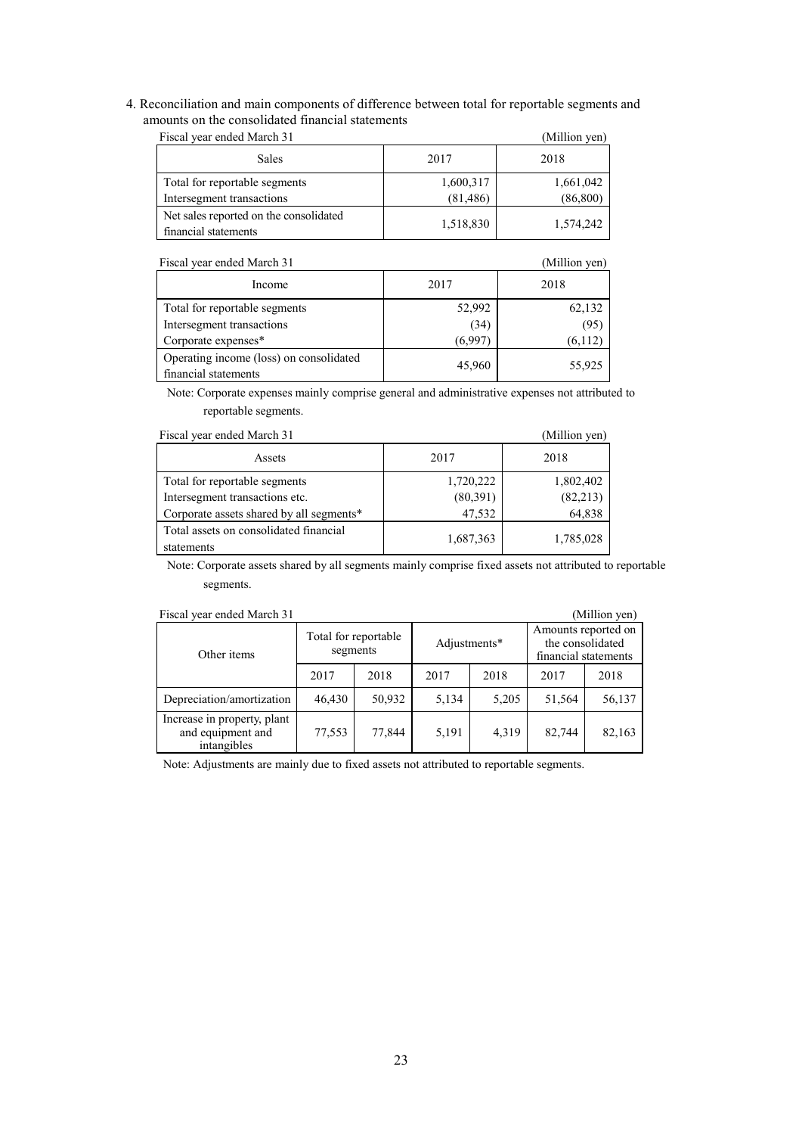4. Reconciliation and main components of difference between total for reportable segments and amounts on the consolidated financial statements

| Fiscal year ended March 31                                     | (Million yen)          |                        |
|----------------------------------------------------------------|------------------------|------------------------|
| <b>Sales</b>                                                   | 2017                   | 2018                   |
| Total for reportable segments<br>Intersegment transactions     | 1,600,317<br>(81, 486) | 1,661,042<br>(86, 800) |
| Net sales reported on the consolidated<br>financial statements | 1,518,830              | 1,574,242              |

| Fiscal year ended March 31                                      |         | (Million yen) |
|-----------------------------------------------------------------|---------|---------------|
| Income                                                          | 2017    | 2018          |
| Total for reportable segments                                   | 52,992  | 62,132        |
| Intersegment transactions                                       | (34)    | (95)          |
| Corporate expenses*                                             | (6.997) | (6,112)       |
| Operating income (loss) on consolidated<br>financial statements | 45.960  | 55,925        |

Note: Corporate expenses mainly comprise general and administrative expenses not attributed to reportable segments.

| Fiscal year ended March 31                           |           | (Million yen) |
|------------------------------------------------------|-----------|---------------|
| Assets                                               | 2017      | 2018          |
| Total for reportable segments                        | 1,720,222 | 1,802,402     |
| Intersegment transactions etc.                       | (80,391)  | (82, 213)     |
| Corporate assets shared by all segments*             | 47,532    | 64,838        |
| Total assets on consolidated financial<br>statements | 1,687,363 | 1,785,028     |

Note: Corporate assets shared by all segments mainly comprise fixed assets not attributed to reportable segments.

| Fiscal year ended March 31                                      |                                  |        |              |       |                                                                 | (Million yen) |
|-----------------------------------------------------------------|----------------------------------|--------|--------------|-------|-----------------------------------------------------------------|---------------|
| Other items                                                     | Total for reportable<br>segments |        | Adjustments* |       | Amounts reported on<br>the consolidated<br>financial statements |               |
|                                                                 | 2017                             | 2018   | 2017         | 2018  | 2017                                                            | 2018          |
| Depreciation/amortization                                       | 46,430                           | 50,932 | 5,134        | 5,205 | 51,564                                                          | 56,137        |
| Increase in property, plant<br>and equipment and<br>intangibles | 77,553                           | 77,844 | 5,191        | 4,319 | 82.744                                                          | 82,163        |

Note: Adjustments are mainly due to fixed assets not attributed to reportable segments.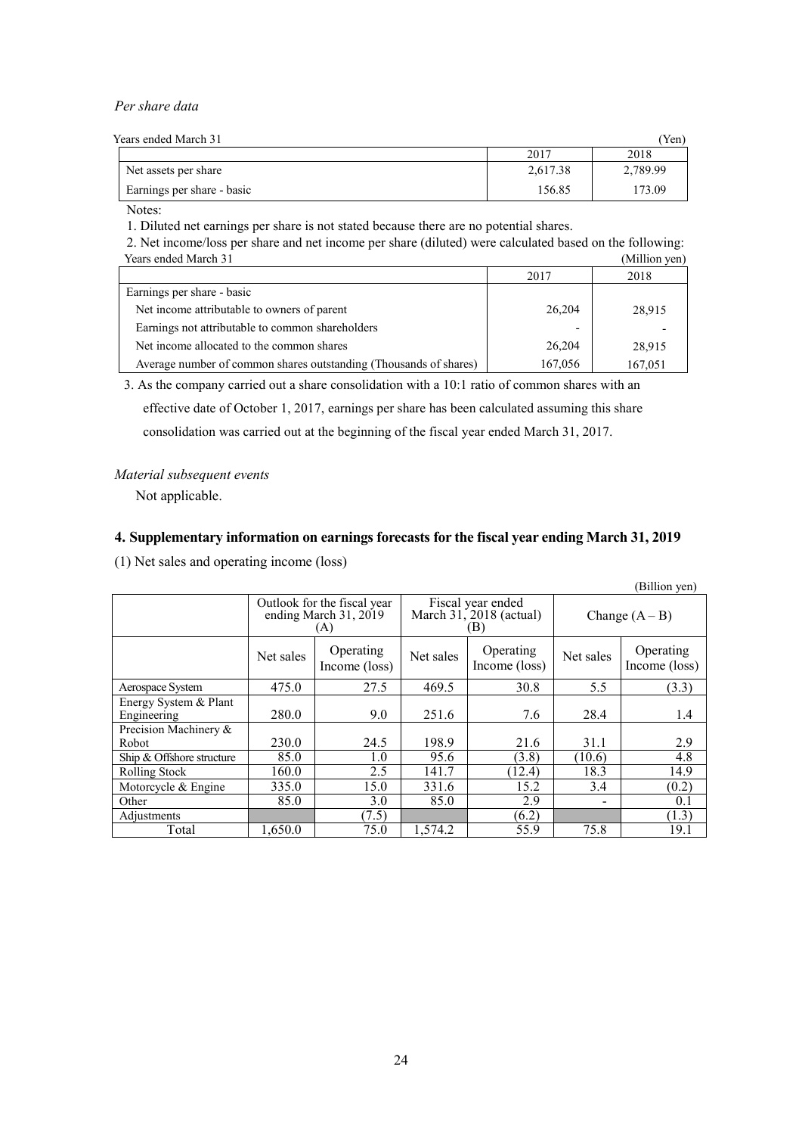### *Per share data*

| Years ended March 31       |          | 'Yen)    |
|----------------------------|----------|----------|
|                            | 2017     | 2018     |
| Net assets per share       | 2,617.38 | 2,789.99 |
| Earnings per share - basic | 156.85   | 173.09   |

Notes:

1. Diluted net earnings per share is not stated because there are no potential shares.

2. Net income/loss per share and net income per share (diluted) were calculated based on the following: Years ended March 31 (Million yen)

|                                                                   | 2017    | 2018    |
|-------------------------------------------------------------------|---------|---------|
| Earnings per share - basic                                        |         |         |
| Net income attributable to owners of parent                       | 26,204  | 28,915  |
| Earnings not attributable to common shareholders                  | -       |         |
| Net income allocated to the common shares                         | 26,204  | 28,915  |
| Average number of common shares outstanding (Thousands of shares) | 167,056 | 167,051 |

3. As the company carried out a share consolidation with a 10:1 ratio of common shares with an effective date of October 1, 2017, earnings per share has been calculated assuming this share

consolidation was carried out at the beginning of the fiscal year ended March 31, 2017.

# *Material subsequent events*

Not applicable.

# **4. Supplementary information on earnings forecasts for the fiscal year ending March 31, 2019**

(1) Net sales and operating income (loss)

|                           |                                                             |                            |           |                                                       |                  | (Billion yen)              |
|---------------------------|-------------------------------------------------------------|----------------------------|-----------|-------------------------------------------------------|------------------|----------------------------|
|                           | Outlook for the fiscal year<br>ending March 31, 2019<br>(A) |                            |           | Fiscal year ended<br>March $31, 2018$ (actual)<br>ΈB) | Change $(A - B)$ |                            |
|                           | Net sales                                                   | Operating<br>Income (loss) | Net sales | Operating<br>Income (loss)                            | Net sales        | Operating<br>Income (loss) |
| Aerospace System          | 475.0                                                       | 27.5                       | 469.5     | 30.8                                                  | 5.5              | (3.3)                      |
| Energy System & Plant     |                                                             |                            |           |                                                       |                  |                            |
| Engineering               | 280.0                                                       | 9.0                        | 251.6     | 7.6                                                   | 28.4             | 1.4                        |
| Precision Machinery &     |                                                             |                            |           |                                                       |                  |                            |
| Robot                     | 230.0                                                       | 24.5                       | 198.9     | 21.6                                                  | 31.1             | 2.9                        |
| Ship & Offshore structure | 85.0                                                        | 1.0                        | 95.6      | (3.8)                                                 | (10.6)           | 4.8                        |
| Rolling Stock             | 160.0                                                       | 2.5                        | 141.7     | (12.4)                                                | 18.3             | 14.9                       |
| Motorcycle $&$ Engine     | 335.0                                                       | 15.0                       | 331.6     | 15.2                                                  | 3.4              | (0.2)                      |
| Other                     | 85.0                                                        | 3.0                        | 85.0      | 2.9                                                   |                  | 0.1                        |
| Adjustments               |                                                             | (7.5)                      |           | (6.2)                                                 |                  | (1.3)                      |
| Total                     | 1.650.0                                                     | 75.0                       | 1.574.2   | 55.9                                                  | 75.8             | 19.1                       |